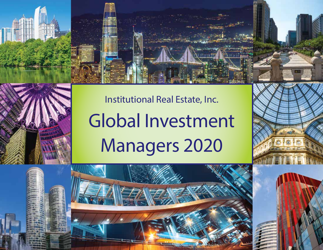# Institutional Real Estate, Inc. Global Investment Managers 2020

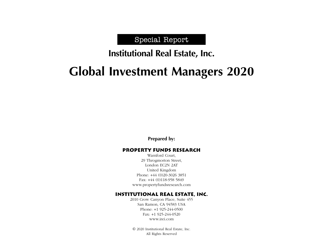# Special Report

# **Institutional Real Estate, Inc.**

# **Global Investment Managers 2020**

**Prepared by:**

### Property funds research

Warnford Court, 29 Throgmorton Street, London EC2N 2AT United Kingdom Phone: +44 (0)20-3026 3851 Fax: +44 (0)118-958 5849 www.propertyfundsresearch.com

### Institutional Real Estate, Inc.

2010 Crow Canyon Place, Suite 455 San Ramon, CA 94583 USA Phone: +1 925-244-0500 Fax: +1 925-244-0520 www.irei.com

© 2020 Institutional Real Estate, Inc. All Rights Reserved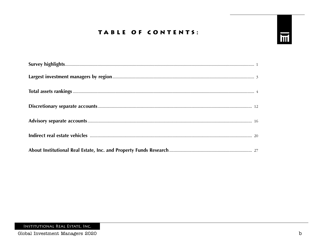# TABLE OF CONTENTS:

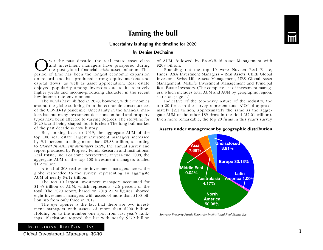# **Taming the bull**



**Uncertainty is shaping the timeline for 2020**

### **by Denise DeChaine**

Over the past decade, the real estate asset class<br>and investment managers have prospered during<br>the post-global financial crisis asset inflation. This<br>period of time has been the longest economic expansion and investment managers have prospered during the post–global financial crisis asset inflation. This period of time has been the longest economic expansion on record and has produced strong equity markets and capital flows, as well as asset appreciation. Real estate enjoyed popularity among investors due to its relatively higher yields and income-producing character in the recent low interest-rate environment.

The winds have shifted in 2020, however, with economies around the globe suffering from the economic consequences of the COVID-19 pandemic. Uncertainty in the financial markets has put many investment decisions on hold and property types have been affected to varying degrees. The storyline for 2020 is still being shaped, but it is clear: The long bull market of the past decade is now history.

But, looking back to 2019, the aggregate AUM of the top 100 real estate largest investment managers increased by 9.1 percent, totaling more than \$3.83 trillion, according to *Global Investment Managers 2020,* the annual survey and report produced by Property Funds Research and Institutional Real Estate, Inc. For some perspective, at year-end 2008, the aggregate AUM of the top 100 investment managers totaled \$1.2 trillion.

A total of 208 real estate investment managers across the globe responded to the survey, representing an aggregate AUM of nearly \$4.12 trillion.

The top 10 largest investment managers accounted for \$1.35 trillion of AUM, which represents 32.6 percent of the total. The 2020 report, based on 2019 AUM figures, showed eight investment managers with assets of more than \$100 billion, up from only three in 2017.

The eye opener is the fact that there are two investment managers with assets of more than \$200 billion. Holding on to the number one spot from last year's rankings, Blackstone topped the list with nearly \$279 billion of AUM, followed by Brookfield Asset Management with \$208 billion.

Rounding out the top 10 were Nuveen Real Estate, Hines, AXA Investment Managers – Real Assets, CBRE Global Investors, Swiss Life Assets Management, UBS Global Asset Management, MetLife Investment Management and Principal Real Estate Investors. (The complete list of investment managers, which includes total AUM and AUM by geographic region, starts on page 4.)

Indicative of the top-heavy nature of the industry, the top 20 firms in the survey represent total AUM of approximately \$2.1 trillion, approximately the same as the aggregate AUM of the other 189 firms in the field (\$2.01 trillion). Even more remarkable, the top 20 firms in this year's survey

### Assets under management by geographic distribution



*Sources: Property Funds Research; Institutional Real Estate, Inc.*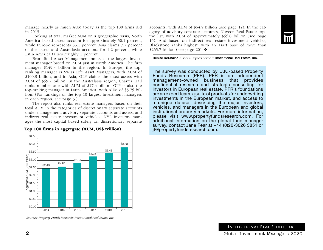manage nearly as much AUM today as the top 100 firms did in 2013.

Looking at total market AUM on a geographic basis, North America–based assets account for approximately 50.1 percent, while Europe represents 33.1 percent. Asia claims 7.7 percent of the assets and Australasia accounts for 4.2 percent, while Latin America tallies roughly 1 percent.

Brookfield Asset Management ranks as the largest investment manager based on AUM just in North America. The firm manages \$149.3 billion in the region. In Europe, the topranking manager is Swiss Life Asset Managers, with AUM of \$100.8 billion, and in Asia, GLP claims the most assets with AUM of \$59.7 billion. In the Australasia region, Charter Hall ranks number one with AUM of \$27.4 billion. GLP is also the top-ranking manager in Latin America, with AUM of \$3.75 billion. (For rankings of the top 10 largest investment managers in each region, see page 3.)

The report also ranks real estate managers based on their total AUM in the categories of discretionary separate accounts under management, advisory separate accounts and assets, and indirect real estate investment vehicles. NYL Investors manages the most capital based solely on discretionary separate

accounts, with AUM of \$54.9 billion (see page 12). In the category of advisory separate accounts, Nuveen Real Estate tops the list, with AUM of approximately \$55.8 billion (see page 16). And based on indirect real estate investment vehicles, Blackstone ranks highest, with an asset base of more than \$265.7 billion (see page 20).  $\triangleleft$ 

Denise DeChaine is special reports editor of Institutional Real Estate, Inc.

The survey was conducted by U.K.-based Property Funds Research (PFR). PFR is an independent management-owned business that provides confidential research and strategic consulting for investors in European real estate. PFR's foundations are an expert team, a suite of products for underwriting investments in the European market, and access to a unique dataset describing the major investors, vehicles, and managers in the European and global institutional property markets. For more information, please visit www.propertyfundsresearch.com. For additional information on the global fund manager survey, contact Jane Fear at +44 (0)20-3026 3851 or jf@propertyfundsresearch.com.



### \$4.50 Top 100 firms in aggregate (AUM, US\$ trillion)

2014 2015 2016 2017 2018 2019

\$0.00 \$0.50 \$1.00

*Sources: Property Funds Research; Institutional Real Estate, Inc.*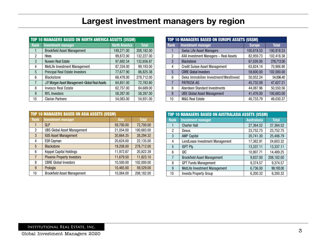| <b>Rank</b><br>$\mathbf{1}$<br>$\overline{c}$<br>$\overline{3}$<br>4<br>$5\phantom{.0}$<br>6<br>$\overline{7}$<br>8<br>$9\phantom{.}$<br>10<br><b>TOP 10 MANAGERS BASED ON AUSTRALASIA ASSETS (US\$M)</b><br>Rank | <b>Investment manager</b><br><b>Swiss Life Asset Managers</b><br>AXA Investment Managers - Real Assets<br><b>Blackstone</b><br><b>Credit Suisse Asset Management</b><br><b>CBRE Global Investors</b><br>Deka Immobilien Investment/WestInvest<br>PATRIZIA AG<br>Aberdeen Standard Investments<br><b>UBS Global Asset Management</b><br>M&G Real Estate | <b>Europe</b><br>100,818.53<br>82,959.73<br>67,026.00<br>63,824.14<br>59,600.00<br>50,052.24<br>45,732.09<br>44,087.96<br>41,476.00<br>40,733.79 | <b>Total</b><br>100,818.53<br>102,418.38<br>278,712.00<br>70,906.90<br>102,000.00<br>54,006.40<br>47,627.21<br>50,550.56 |
|-------------------------------------------------------------------------------------------------------------------------------------------------------------------------------------------------------------------|--------------------------------------------------------------------------------------------------------------------------------------------------------------------------------------------------------------------------------------------------------------------------------------------------------------------------------------------------------|--------------------------------------------------------------------------------------------------------------------------------------------------|--------------------------------------------------------------------------------------------------------------------------|
|                                                                                                                                                                                                                   |                                                                                                                                                                                                                                                                                                                                                        |                                                                                                                                                  |                                                                                                                          |
|                                                                                                                                                                                                                   |                                                                                                                                                                                                                                                                                                                                                        |                                                                                                                                                  |                                                                                                                          |
|                                                                                                                                                                                                                   |                                                                                                                                                                                                                                                                                                                                                        |                                                                                                                                                  |                                                                                                                          |
|                                                                                                                                                                                                                   |                                                                                                                                                                                                                                                                                                                                                        |                                                                                                                                                  |                                                                                                                          |
|                                                                                                                                                                                                                   |                                                                                                                                                                                                                                                                                                                                                        |                                                                                                                                                  |                                                                                                                          |
|                                                                                                                                                                                                                   |                                                                                                                                                                                                                                                                                                                                                        |                                                                                                                                                  |                                                                                                                          |
|                                                                                                                                                                                                                   |                                                                                                                                                                                                                                                                                                                                                        |                                                                                                                                                  |                                                                                                                          |
|                                                                                                                                                                                                                   |                                                                                                                                                                                                                                                                                                                                                        |                                                                                                                                                  |                                                                                                                          |
|                                                                                                                                                                                                                   |                                                                                                                                                                                                                                                                                                                                                        |                                                                                                                                                  |                                                                                                                          |
|                                                                                                                                                                                                                   |                                                                                                                                                                                                                                                                                                                                                        |                                                                                                                                                  | 100,683.00                                                                                                               |
|                                                                                                                                                                                                                   |                                                                                                                                                                                                                                                                                                                                                        |                                                                                                                                                  | 49,030.37                                                                                                                |
| $\overline{c}$<br>$\mathbf{3}$                                                                                                                                                                                    | Dexus<br><b>AMP Capital</b>                                                                                                                                                                                                                                                                                                                            | 23,752.75<br>20,741.30                                                                                                                           | 23,752.75<br>25,406.79                                                                                                   |
| $\mathbf{1}$                                                                                                                                                                                                      | <b>Charter Hall</b>                                                                                                                                                                                                                                                                                                                                    | 27,364.52                                                                                                                                        | 27,364.52                                                                                                                |
|                                                                                                                                                                                                                   |                                                                                                                                                                                                                                                                                                                                                        |                                                                                                                                                  |                                                                                                                          |
|                                                                                                                                                                                                                   |                                                                                                                                                                                                                                                                                                                                                        |                                                                                                                                                  | 24,603.32                                                                                                                |
|                                                                                                                                                                                                                   |                                                                                                                                                                                                                                                                                                                                                        |                                                                                                                                                  | 13,337.11                                                                                                                |
|                                                                                                                                                                                                                   |                                                                                                                                                                                                                                                                                                                                                        |                                                                                                                                                  | 14,489.25                                                                                                                |
|                                                                                                                                                                                                                   |                                                                                                                                                                                                                                                                                                                                                        |                                                                                                                                                  | 208,182.00                                                                                                               |
| 8                                                                                                                                                                                                                 |                                                                                                                                                                                                                                                                                                                                                        |                                                                                                                                                  | 9,374.57                                                                                                                 |
| $\boldsymbol{9}$                                                                                                                                                                                                  | MetLife Investment Management                                                                                                                                                                                                                                                                                                                          | 6,736.00                                                                                                                                         | 99,193.00                                                                                                                |
| 10                                                                                                                                                                                                                | Investa Property Group                                                                                                                                                                                                                                                                                                                                 | 6,200.32                                                                                                                                         | 6,200.32                                                                                                                 |
|                                                                                                                                                                                                                   | $\overline{\mathbf{4}}$<br>$\overline{5}$<br>$\boldsymbol{6}$<br>$\overline{7}$                                                                                                                                                                                                                                                                        | LendLease Investment Management<br><b>ISPT Pty</b><br>QIC<br><b>Brookfield Asset Management</b><br><b>GPT Funds Management</b>                   | 17,362.91<br>13,337.11<br>10,907.71<br>9,837.00<br>9,374.57                                                              |

|                | <b>TOP 10 MANAGERS BASED ON EUROPE ASSETS (US\$M)</b> |               |              |
|----------------|-------------------------------------------------------|---------------|--------------|
| Rank           | <b>Investment manager</b>                             | <b>Europe</b> | <b>Total</b> |
|                | <b>Swiss Life Asset Managers</b>                      | 100,818.53    | 100,818.53   |
| 2              | AXA Investment Managers - Real Assets                 | 82,959.73     | 102,418.38   |
| 3              | <b>Blackstone</b>                                     | 67,026.00     | 278,712.00   |
| 4              | <b>Credit Suisse Asset Management</b>                 | 63,824.14     | 70,906.90    |
| $\overline{5}$ | <b>CBRE Global Investors</b>                          | 59,600.00     | 102,000.00   |
| 6              | Deka Immobilien Investment/WestInvest                 | 50,052.24     | 54,006.40    |
|                | PATRIZIA AG                                           | 45,732.09     | 47,627.21    |
| 8              | Aberdeen Standard Investments                         | 44,087.96     | 50,550.56    |
| 9              | <b>UBS Global Asset Management</b>                    | 41,476.00     | 100,683.00   |
| 10             | M&G Real Estate                                       | 40,733.79     | 49,030.37    |

|                |                                    | <b>TOP 10 MANAGERS BASED ON ASIA ASSETS (US\$M)</b> |              |  |  |  |  |  |  |  |  |
|----------------|------------------------------------|-----------------------------------------------------|--------------|--|--|--|--|--|--|--|--|
| <b>Rank</b>    | <b>Investment manager</b>          | Asia                                                | <b>Total</b> |  |  |  |  |  |  |  |  |
|                | <b>GLP</b>                         | 59,700.00                                           | 72,700.00    |  |  |  |  |  |  |  |  |
| $\overline{c}$ | <b>UBS Global Asset Management</b> | 21,054.00                                           | 100,683.00   |  |  |  |  |  |  |  |  |
| 3              | <b>IGIS Asset Management</b>       | 20,664.35                                           | 28,294.32    |  |  |  |  |  |  |  |  |
| 4              | <b>ESR Cayman</b>                  | 20,624.00                                           | 22,135.00    |  |  |  |  |  |  |  |  |
| 5              | <b>Blackstone</b>                  | 19,208.00                                           | 278,712.00   |  |  |  |  |  |  |  |  |
| 6              | <b>Keppel Capital Holdings</b>     | 11,972.87                                           | 20,822.39    |  |  |  |  |  |  |  |  |
| $\overline{7}$ | <b>Phoenix Property Investors</b>  | 11,679.50                                           | 11,823.10    |  |  |  |  |  |  |  |  |
| 8              | <b>CBRE Global Investors</b>       | 10,500.00                                           | 102,000.00   |  |  |  |  |  |  |  |  |
| 9              | Prologis                           | 10,465.00                                           | 59,529.00    |  |  |  |  |  |  |  |  |
| 10             | <b>Brookfield Asset Management</b> | 10,064.00                                           | 208,182.00   |  |  |  |  |  |  |  |  |

|                | <b>TOP 10 MANAGERS BASED ON AUSTRALASIA ASSETS (US\$M)</b> |                    |              |  |  |  |  |  |  |  |
|----------------|------------------------------------------------------------|--------------------|--------------|--|--|--|--|--|--|--|
| <b>Rank</b>    | <b>Investment manager</b>                                  | <b>Australasia</b> | <b>Total</b> |  |  |  |  |  |  |  |
|                | <b>Charter Hall</b>                                        | 27,364.52          | 27,364.52    |  |  |  |  |  |  |  |
| 2              | Dexus                                                      | 23,752.75          | 23,752.75    |  |  |  |  |  |  |  |
| 3              | <b>AMP Capital</b>                                         | 20,741.30          | 25,406.79    |  |  |  |  |  |  |  |
| 4              | LendLease Investment Management                            | 17,362.91          | 24,603.32    |  |  |  |  |  |  |  |
| 5              | <b>ISPT Pty</b>                                            | 13,337.11          | 13,337.11    |  |  |  |  |  |  |  |
| 6              | QIC                                                        | 10,907.71          | 14,489.25    |  |  |  |  |  |  |  |
| $\overline{7}$ | <b>Brookfield Asset Management</b>                         | 9,837.00           | 208,182.00   |  |  |  |  |  |  |  |
| 8              | <b>GPT Funds Management</b>                                | 9,374.57           | 9,374.57     |  |  |  |  |  |  |  |
| 9              | MetLife Investment Management                              | 6,736.00           | 99,193.00    |  |  |  |  |  |  |  |
| 10             | <b>Investa Property Group</b>                              | 6,200.32           | 6,200.32     |  |  |  |  |  |  |  |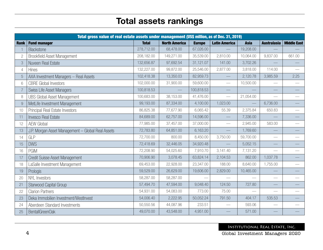# Total assets rankings

|                | Total gross value of real estate assets under management (US\$ million, as of Dec. 31, 2019) |              |                      |               |                      |             |                             |                    |
|----------------|----------------------------------------------------------------------------------------------|--------------|----------------------|---------------|----------------------|-------------|-----------------------------|--------------------|
| <b>Rank</b>    | <b>Fund manager</b>                                                                          | <b>Total</b> | <b>North America</b> | <b>Europe</b> | <b>Latin America</b> | <b>Asia</b> | <b>Australasia</b>          | <b>Middle East</b> |
|                | Blackstone                                                                                   | 278,712.00   | 68,478.00            | 67,026.00     |                      | 19,208.00   |                             |                    |
| $\overline{2}$ | <b>Brookfield Asset Management</b>                                                           | 208,182.00   | 149,271.00           | 35,539.00     | 2,810.00             | 10,064.00   | 9,837.00                    | 661.00             |
| 3              | Nuveen Real Estate                                                                           | 132,656.87   | 97,692.54            | 31,121.07     | 141.00               | 3,702.26    |                             |                    |
| $\overline{4}$ | <b>Hines</b>                                                                                 | 132,227.00   | 99,872.00            | 25,546.00     | 2,877.00             | 3,818.00    | 114.00                      |                    |
|                | AXA Investment Managers - Real Assets                                                        | 102,418.38   | 13,350.03            | 82,959.73     |                      | 2,120.78    | 3,985.59                    | 2.25               |
| 6              | <b>CBRE</b> Global Investors                                                                 | 102,000.00   | 31,900.00            | 59,600.00     |                      | 10,500.00   |                             |                    |
|                | Swiss Life Asset Managers                                                                    | 100,818.53   |                      | 100,818.53    |                      |             |                             |                    |
| 8              | <b>UBS Global Asset Management</b>                                                           | 100,683.00   | 38,153.00            | 41,476.00     |                      | 21,054.00   | $\frac{1}{2}$               |                    |
|                | MetLife Investment Management                                                                | 99,193.00    | 87,334.00            | 4,100.00      | 1,023.00             |             | 6,736.00                    |                    |
| 10             | Principal Real Estate Investors                                                              | 86,825.38    | 77,677.90            | 6,065.42      | 55.39                | 2,375.84    | 650.83                      |                    |
| 11             | <b>Invesco Real Estate</b>                                                                   | 84,689.00    | 62,757.00            | 14,596.00     |                      | 7,336.00    |                             |                    |
| 12             | <b>AEW Global</b>                                                                            | 77,985.00    | 37,457.00            | 37,000.00     |                      | 2,945.00    | 583.00                      |                    |
| 13             | J.P. Morgan Asset Management - Global Real Assets                                            | 72,783.80    | 64,851.00            | 6,163.20      |                      | 1,769.60    |                             |                    |
| 14             | GLP                                                                                          | 72,700.00    | 800.00               | 8,450.00      | 3,750.00             | 59,700.00   |                             |                    |
| 15             | <b>DWS</b>                                                                                   | 72,418.69    | 32,446.05            | 34,920.48     |                      | 5,052.15    |                             |                    |
| 16             | <b>PGIM</b>                                                                                  | 72,208.90    | 54,025.60            | 7,910.70      | 3,141.40             | 7,131.20    | $\overbrace{\hspace{15em}}$ |                    |
| 17             | Credit Suisse Asset Management                                                               | 70,906.90    | 3,078.45             | 63,824.14     | 2,104.53             | 862.00      | 1,037.78                    |                    |
| 18             | LaSalle Investment Management                                                                | 69,453.00    | 22,928.00            | 23,347.00     | 188.00               | 8,640.00    | 1,755.00                    |                    |
| 19             | Prologis                                                                                     | 59,529.00    | 26,629.00            | 19,606.00     | 2,829.00             | 10,465.00   |                             |                    |
| 20             | <b>NYL</b> Investors                                                                         | 58,287.00    | 58,287.00            |               |                      |             |                             |                    |
| 21             | Starwood Capital Group                                                                       | 57,494.70    | 47,594.00            | 9,048.40      | 124.50               | 727.80      |                             |                    |
| 22             | <b>Clarion Partners</b>                                                                      | 54,931.00    | 54,083.00            | 773.00        | 75.00                |             | $\overline{\phantom{0}}$    |                    |
| 23             | Deka Immobilien Investment/WestInvest                                                        | 54,006.40    | 2,222.95             | 50,052.24     | 791.50               | 404.17      | 535.53                      |                    |
| 24             | Aberdeen Standard Investments                                                                | 50,550.56    | 44,087.96            | 233.51        |                      | 593.06      |                             |                    |
| 25             | BentallGreenOak                                                                              | 49,070.00    | 43,548.00            | 4,951.00      |                      | 571.00      |                             |                    |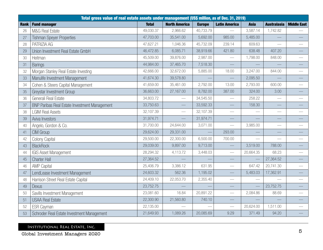|             | Total gross value of real estate assets under management (US\$ million, as of Dec. 31, 2019) |              |                      |               |                          |             |                          |                          |
|-------------|----------------------------------------------------------------------------------------------|--------------|----------------------|---------------|--------------------------|-------------|--------------------------|--------------------------|
| <b>Rank</b> | <b>Fund manager</b>                                                                          | <b>Total</b> | <b>North America</b> | <b>Europe</b> | <b>Latin America</b>     | <b>Asia</b> | <b>Australasia</b>       | <b>Middle East</b>       |
| 26          | M&G Real Estate                                                                              | 49,030.37    | 2,966.62             | 40,733.79     |                          | 3,587.14    | 1,742.82                 |                          |
| 27          | <b>Tishman Speyer Properties</b>                                                             | 47,703.00    | 35,541.00            | 5,692.00      | 985.00                   | 5,485.00    |                          |                          |
| 28          | PATRIZIA AG                                                                                  | 47,627.21    | 1,046.36             | 45,732.09     | 239.14                   | 609.63      |                          |                          |
| 29          | Union Investment Real Estate GmbH                                                            | 46,472.85    | 6,085.71             | 38,919.66     | 421.80                   | 638.48      | 407.20                   |                          |
| 30          | Heitman                                                                                      | 45,509.00    | 39,876.00            | 2,987.00      |                          | 1,798.00    | 848.00                   |                          |
| 31          | <b>Barings</b>                                                                               | 44,984.00    | 37,465.70            | 7,518.30      |                          |             |                          |                          |
| 32          | Morgan Stanley Real Estate Investing                                                         | 42,666.00    | 32,672.00            | 5,885.00      | 18.00                    | 3,247.00    | 844.00                   |                          |
| 33          | Manulife Investment Management                                                               | 41,674.30    | 39,578.80            |               |                          | 2,095.50    |                          |                          |
| 34          | Cohen & Steers Capital Management                                                            | 41,659.00    | 35,461.00            | 2,792.00      | 13.00                    | 2,793.00    | 600.00                   |                          |
| 35          | Greystar Investment Group                                                                    | 36,663.00    | 27,167.00            | 8,782.00      | 387.00                   | 324.00      | 3.00                     |                          |
| 36          | Generali Real Estate                                                                         | 34,803.72    |                      | 34,545.50     |                          | 258.22      |                          |                          |
| 37          | <b>BNP Paribas Real Estate Investment Management</b>                                         | 33,750.63    |                      | 33,592.33     |                          | 158.30      |                          |                          |
| 38          | <b>LGIM Real Assets</b>                                                                      | 32,107.39    |                      | 32,107.39     |                          |             |                          |                          |
| 39          | Aviva Investors                                                                              | 31,974.71    |                      | 31,974.71     |                          |             |                          |                          |
| 40          | Angelo, Gordon & Co.                                                                         | 31,700.00    | 24,644.00            | 3,071.00      |                          | 3,985.00    |                          |                          |
| 41          | CIM Group                                                                                    | 29,624.00    | 29,331.00            |               | 293.00                   |             |                          |                          |
| 42          | Colony Capital                                                                               | 29,500.00    | 22,300.00            | 6,500.00      | 700.00                   |             | $\overline{\phantom{0}}$ | $\overline{\phantom{0}}$ |
| 43          | <b>BlackRock</b>                                                                             | 29,039.00    | 9,897.00             | 9,713.00      |                          | 3,519.00    | 788.00                   |                          |
| 44          | <b>IGIS Asset Management</b>                                                                 | 28,294.32    | 4,113.72             | 3,448.03      |                          | 20,664.35   | 68.23                    |                          |
| 45          | <b>Charter Hall</b>                                                                          | 27,364.52    |                      |               |                          |             | 27,364.52                |                          |
| 46          | <b>AMP Capital</b>                                                                           | 25,406.79    | 3,386.12             | 631.95        | $\overline{\phantom{0}}$ | 647.42      | 20,741.30                |                          |
| 47          | LendLease Investment Management                                                              | 24,603.32    | 562.36               | 1,195.02      |                          | 5,483.03    | 17,362.91                |                          |
| 48          | Harrison Street Real Estate Capital                                                          | 24,409.10    | 22,053.70            | 2,355.40      |                          |             |                          |                          |
| 49          | <b>Dexus</b>                                                                                 | 23,752.75    |                      |               |                          |             | 23,752.75                |                          |
| 50          | Savills Investment Management                                                                | 23,081.60    | 16.84                | 20,891.22     |                          | 2,084.86    | 88.69                    |                          |
| 51          | <b>USAA Real Estate</b>                                                                      | 22,300.90    | 21,560.80            | 740.10        |                          |             |                          |                          |
| 52          | <b>ESR Cayman</b>                                                                            | 22,135.00    |                      |               |                          | 20,624.00   | 1,511.00                 |                          |
| 53          | Schroder Real Estate Investment Management                                                   | 21,649.93    | 1,089.26             | 20,085.69     | 9.29                     | 371.49      | 94.20                    |                          |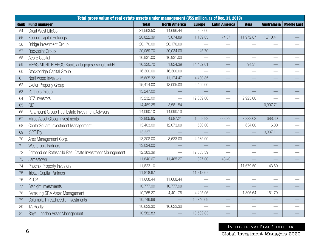|             | Total gross value of real estate assets under management (US\$ million, as of Dec. 31, 2019) |              |                      |               |                          |                          |                          |                                  |
|-------------|----------------------------------------------------------------------------------------------|--------------|----------------------|---------------|--------------------------|--------------------------|--------------------------|----------------------------------|
| <b>Rank</b> | <b>Fund manager</b>                                                                          | <b>Total</b> | <b>North America</b> | <b>Europe</b> | <b>Latin America</b>     | <b>Asia</b>              | <b>Australasia</b>       | <b>Middle East</b>               |
| 54          | Great West LifeCo.                                                                           | 21,563.50    | 14,696.44            | 6,867.06      |                          |                          |                          |                                  |
| 55          | <b>Keppel Capital Holdings</b>                                                               | 20,822.39    | 5,874.89             | 1,189.85      | 74.37                    | 11,972.87                | 1,710.41                 |                                  |
| 56          | <b>Bridge Investment Group</b>                                                               | 20,170.00    | 20,170.00            |               |                          |                          |                          |                                  |
| 57          | Rockpoint Group                                                                              | 20,069.70    | 20,024.00            | 45.70         |                          |                          |                          |                                  |
| 58          | Acore Capital                                                                                | 16,931.00    | 16,931.00            |               |                          |                          |                          |                                  |
| 59          | MEAG MUNICH ERGO Kapitalanlagegesellschaft mbH                                               | 16,320.70    | 1,824.39             | 14,402.01     |                          | 94.31                    |                          |                                  |
| 60          | Stockbridge Capital Group                                                                    | 16,300.00    | 16,300.00            |               |                          |                          |                          |                                  |
| 61          | Northwood Investors                                                                          | 15,605.32    | 11,174.47            | 4,430.85      |                          |                          |                          |                                  |
| 62          | <b>Exeter Property Group</b>                                                                 | 15,414.00    | 13,005.00            | 2,409.00      |                          | $\overline{\phantom{0}}$ | $\overline{\phantom{0}}$ |                                  |
| 63          | Partners Group                                                                               | 15,247.00    |                      |               |                          |                          |                          |                                  |
| 64          | <b>DTZ</b> Investors                                                                         | 15,232.00    |                      | 12,309.00     |                          | 2,923.00                 |                          |                                  |
| 65          | QIC                                                                                          | 14,489.25    | 3,581.54             |               |                          |                          | 10,907.71                |                                  |
| 66          | Paramount Group Real Estate Investment Advisors                                              | 14,090.10    | 14,090.10            |               | $\overline{\phantom{a}}$ | <u>e a</u>               |                          | $\overbrace{\qquad \qquad }^{ }$ |
| 67          | Mirae Asset Global Investments                                                               | 13,905.85    | 4,587.21             | 1,068.93      | 338.39                   | 7,223.02                 | 688.30                   |                                  |
| 68          | CenterSquare Investment Management                                                           | 13,403.00    | 12,073.00            | 580.00        |                          | 634.00                   | 116.00                   |                                  |
| 69          | <b>ISPT Pty</b>                                                                              | 13,337.11    |                      |               |                          |                          | 13,337.11                |                                  |
| 70          | Ares Management Corp.                                                                        | 13,208.00    | 8,623.00             | 4,585.00      | $\overline{\phantom{0}}$ | $\qquad \qquad$          |                          | $\overbrace{\qquad \qquad }^{ }$ |
| 71          | <b>Westbrook Partners</b>                                                                    | 13,034.00    |                      |               |                          |                          |                          |                                  |
| 72          | Edmond de Rothschild Real Estate Investment Management                                       | 12,383.39    |                      | 12,383.39     | $\overline{\phantom{a}}$ | $\overline{\phantom{0}}$ |                          |                                  |
| 73          | Jamestown                                                                                    | 11,840.67    | 11,465.27            | 327.00        | 48.40                    |                          |                          |                                  |
| 74          | Phoenix Property Investors                                                                   | 11,823.10    |                      |               |                          | 11,679.50                | 143.60                   |                                  |
| 75          | <b>Tristan Capital Partners</b>                                                              | 11,818.67    |                      | 11,818.67     |                          |                          |                          |                                  |
| 76          | <b>PCCP</b>                                                                                  | 11,608.44    | 11,608.44            |               | $\overline{\phantom{0}}$ |                          |                          | $\overbrace{\qquad \qquad }^{}$  |
| 77          | <b>Starlight Investments</b>                                                                 | 10,777.90    | 10,777.90            |               |                          |                          |                          |                                  |
| 78          | Samsung SRA Asset Management                                                                 | 10,765.27    | 4,401.78             | 4,405.06      | $\frac{1}{1}$            | 1,806.64                 | 151.79                   |                                  |
| 79          | Columbia Threadneedle Investments                                                            | 10,746.69    |                      | 10,746.69     |                          |                          |                          |                                  |
| 80          | <b>TA Realty</b>                                                                             | 10,623.30    | 10,623.30            |               | $\overline{\phantom{0}}$ |                          |                          |                                  |
| 81          | Royal London Asset Management                                                                | 10,582.83    |                      | 10,582.83     |                          |                          |                          |                                  |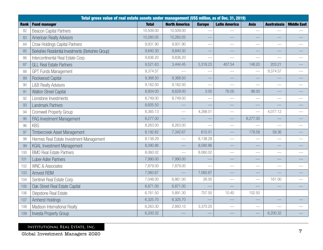|             | Total gross value of real estate assets under management (US\$ million, as of Dec. 31, 2019) |              |                      |               |                          |                 |                          |                                 |
|-------------|----------------------------------------------------------------------------------------------|--------------|----------------------|---------------|--------------------------|-----------------|--------------------------|---------------------------------|
| <b>Rank</b> | <b>Fund manager</b>                                                                          | <b>Total</b> | <b>North America</b> | <b>Europe</b> | <b>Latin America</b>     | <b>Asia</b>     | <b>Australasia</b>       | <b>Middle East</b>              |
| 82          | <b>Beacon Capital Partners</b>                                                               | 10,509.00    | 10,509.00            |               |                          |                 |                          |                                 |
| 83          | <b>American Realty Advisors</b>                                                              | 10,260.05    | 10,260.05            |               |                          |                 |                          |                                 |
| 84          | <b>Crow Holdings Capital Partners</b>                                                        | 9,931.90     | 9,931.90             |               |                          |                 |                          |                                 |
| 85          | Berkshire Residential Investments (Berkshire Group)                                          | 9,840.30     | 9,840.30             |               |                          |                 | $\overline{\phantom{m}}$ |                                 |
| 86          | Intercontinental Real Estate Corp.                                                           | 9,836.20     | 9,836.20             |               |                          |                 |                          |                                 |
| 87          | <b>GLL Real Estate Partners</b>                                                              | 9,521.63     | 3,444.45             | 5,318.23      | 407.54                   | 148.20          | 203.21                   |                                 |
| 88          | <b>GPT Funds Management</b>                                                                  | 9,374.57     |                      |               |                          | $\frac{1}{2}$   | 9,374.57                 |                                 |
| 89          | Rockwood Capital                                                                             | 9,368.50     | 9,368.50             |               |                          |                 |                          |                                 |
| 90          | <b>L&amp;B Realty Advisors</b>                                                               | 9,162.00     | 9,162.00             |               | $\overline{\phantom{0}}$ |                 |                          |                                 |
| 91          | Walton Street Capital                                                                        | 8,804.00     | 8,629.00             | 3.00          | 76.00                    | 96.00           |                          |                                 |
| 92          | Lionstone Investments                                                                        | 8,749.00     | 8,749.00             |               |                          |                 |                          |                                 |
| 93          | Landmark Partners                                                                            | 8,605.50     |                      |               |                          |                 |                          |                                 |
| 94          | <b>Cromwell Property Group</b>                                                               | 8,365.13     |                      | 4,288.01      |                          |                 | 4,077.12                 |                                 |
| 95          | PAG Investment Management                                                                    | 8,277.00     |                      |               |                          | 8,277.00        |                          |                                 |
| 96          | <b>KBS</b>                                                                                   | 8,263.00     | 8,263.00             |               |                          |                 |                          |                                 |
| 97          | Timbercreek Asset Management                                                                 | 8,192.62     | 7,342.67             | 612.01        |                          | 178.58          | 59.36                    |                                 |
| 98          | Hermes Real Estate Investment Management                                                     | 8,138.29     |                      | 8,138.29      |                          |                 |                          |                                 |
| 99          | <b>KGAL Investment Management</b>                                                            | 8,090.86     |                      | 8,090.86      |                          |                 |                          |                                 |
| 100         | <b>BMO Real Estate Partners</b>                                                              | 8,060.02     |                      | 8,060.02      | $\overline{\phantom{0}}$ | $\frac{1}{2}$   |                          |                                 |
| 101         | Luber-Adler Partners                                                                         | 7,990.00     | 7,990.00             |               |                          |                 |                          |                                 |
| 102         | <b>WNC &amp; Associates</b>                                                                  | 7,879.00     | 7,879.00             |               |                          |                 | $\overline{\phantom{0}}$ |                                 |
| 103         | <b>Amvest REIM</b>                                                                           | 7,060.67     |                      | 7,060.67      |                          |                 |                          |                                 |
| 104         | Sentinel Real Estate Corp.                                                                   | 7,048.00     | 6,861.00             | 26.00         | $\frac{1}{1}$            |                 | 161.00                   |                                 |
| 105         | Oak Street Real Estate Capital                                                               | 6,871.00     | 6,871.00             |               |                          |                 |                          |                                 |
| 106         | Stepstone Real Estate                                                                        | 6,761.50     | 5,891.30             | 757.50        | 10.40                    | 102.50          |                          |                                 |
| 107         | Amherst Holdings                                                                             | 6,325.70     | 6,325.70             |               |                          |                 |                          |                                 |
| 108         | Madison International Realty                                                                 | 6,263.30     | 2,893.10             | 3,370.20      | $\frac{1}{1}$            | $\qquad \qquad$ | $\overline{\phantom{m}}$ | $\overbrace{\qquad \qquad }^{}$ |
| 109         | Investa Property Group                                                                       | 6,200.32     |                      |               |                          |                 | 6,200.32                 |                                 |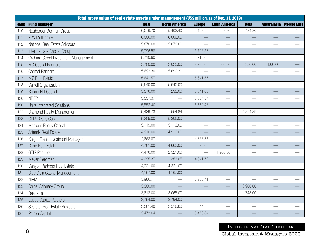|             | Total gross value of real estate assets under management (US\$ million, as of Dec. 31, 2019) |              |                      |               |                      |             |                          |                    |  |  |  |
|-------------|----------------------------------------------------------------------------------------------|--------------|----------------------|---------------|----------------------|-------------|--------------------------|--------------------|--|--|--|
| <b>Rank</b> | <b>Fund manager</b>                                                                          | <b>Total</b> | <b>North America</b> | <b>Europe</b> | <b>Latin America</b> | <b>Asia</b> | <b>Australasia</b>       | <b>Middle East</b> |  |  |  |
| 110         | Neuberger Berman Group                                                                       | 6,076.70     | 5,403.40             | 168.50        | 68.20                | 434.80      |                          | 0.40               |  |  |  |
| 111         | FPA Multifamily                                                                              | 6,006.00     | 6,006.00             |               |                      |             |                          |                    |  |  |  |
| 112         | National Real Estate Advisors                                                                | 5,870.60     | 5,870.60             |               |                      |             | $\overline{\phantom{0}}$ |                    |  |  |  |
| 113         | Intermediate Capital Group                                                                   | 5,796.58     |                      | 5,796.58      |                      |             |                          |                    |  |  |  |
| 114         | Orchard Street Investment Management                                                         | 5,710.60     |                      | 5,710.60      |                      |             |                          |                    |  |  |  |
| 115         | M3 Capital Partners                                                                          | 5,700.00     | 2,025.00             | 2,275.00      | 650.00               | 350.00      | 400.00                   |                    |  |  |  |
| 116         | <b>Carmel Partners</b>                                                                       | 5,692.30     | 5,692.30             |               |                      |             |                          |                    |  |  |  |
| 117         | M7 Real Estate                                                                               | 5,641.57     |                      | 5,641.57      |                      |             |                          |                    |  |  |  |
| 118         | Carroll Organization                                                                         | 5,640.00     | 5,640.00             |               |                      |             | $\overline{\phantom{0}}$ |                    |  |  |  |
| 119         | Round Hill Capital                                                                           | 5,576.00     | 235.00               | 5,341.00      |                      |             |                          |                    |  |  |  |
| 120         | <b>NREP</b>                                                                                  | 5,557.37     |                      | 5,557.37      |                      |             |                          |                    |  |  |  |
| 120         | Unite Integrated Solutions                                                                   | 5,552.46     |                      | 5,552.46      |                      |             |                          |                    |  |  |  |
| 122         | Diamond Realty Management                                                                    | 5,429.73     | 554.84               |               |                      | 4,874.89    | $\overline{\phantom{0}}$ |                    |  |  |  |
| 123         | <b>GEM Realty Capital</b>                                                                    | 5,305.00     | 5,305.00             |               |                      |             |                          |                    |  |  |  |
| 124         | Madison Realty Capital                                                                       | 5,119.00     | 5,119.00             |               |                      |             |                          |                    |  |  |  |
| 125         | Artemis Real Estate                                                                          | 4,910.00     | 4,910.00             |               |                      |             |                          |                    |  |  |  |
| 126         | Knight Frank Investment Management                                                           | 4,863.87     |                      | 4,863.87      |                      |             | $\overline{\phantom{0}}$ |                    |  |  |  |
| 127         | Dune Real Estate                                                                             | 4,761.00     | 4,663.00             | 98.00         |                      |             |                          |                    |  |  |  |
| 128         | <b>GTIS Partners</b>                                                                         | 4,476.00     | 2,521.00             |               | 1,955.00             |             | $\overline{\phantom{0}}$ |                    |  |  |  |
| 129         | Meyer Bergman                                                                                | 4,395.37     | 353.65               | 4,041.72      |                      |             |                          |                    |  |  |  |
| 130         | Canyon Partners Real Estate                                                                  | 4,321.00     | 4,321.00             |               |                      |             |                          |                    |  |  |  |
| 131         | <b>Blue Vista Capital Management</b>                                                         | 4,167.00     | 4,167.00             |               |                      |             |                          |                    |  |  |  |
| 132         | <b>NIAM</b>                                                                                  | 3,986.71     |                      | 3,986.71      |                      |             | $\overline{\phantom{0}}$ |                    |  |  |  |
| 133         | China Visionary Group                                                                        | 3,900.00     |                      |               |                      | 3,900.00    |                          |                    |  |  |  |
| 134         | Realterm                                                                                     | 3,813.00     | 3,065.00             |               |                      | 748.00      |                          |                    |  |  |  |
| 135         | <b>Equus Capital Partners</b>                                                                | 3,794.00     | 3,794.00             |               |                      |             |                          |                    |  |  |  |
| 136         | <b>Sculptor Real Estate Advisors</b>                                                         | 3,561.40     | 2,516.60             | 1,044.80      |                      |             |                          |                    |  |  |  |
| 137         | Patron Capital                                                                               | 3,473.64     |                      | 3,473.64      |                      |             |                          |                    |  |  |  |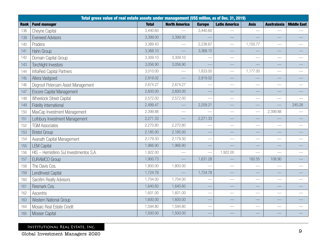|             | Total gross value of real estate assets under management (US\$ million, as of Dec. 31, 2019) |              |                      |               |                      |                          |                          |                    |  |
|-------------|----------------------------------------------------------------------------------------------|--------------|----------------------|---------------|----------------------|--------------------------|--------------------------|--------------------|--|
| <b>Rank</b> | <b>Fund manager</b>                                                                          | <b>Total</b> | <b>North America</b> | <b>Europe</b> | <b>Latin America</b> | <b>Asia</b>              | <b>Australasia</b>       | <b>Middle East</b> |  |
| 138         | Cheyne Capital                                                                               | 3,440.60     |                      | 3,440.60      |                      |                          |                          |                    |  |
| 139         | <b>Everwest Advisors</b>                                                                     | 3,399.00     | 3,399.00             |               |                      |                          |                          |                    |  |
| 140         | Pradera                                                                                      | 3,389.43     |                      | 2,238.67      |                      | 1,150.77                 | $\overline{\phantom{0}}$ |                    |  |
| 141         | Hahn Group                                                                                   | 3,368.10     |                      | 3,368.10      |                      |                          | $\overline{\phantom{0}}$ |                    |  |
| 142         | Domain Capital Group                                                                         | 3,309.10     | 3,309.10             |               | $\frac{1}{1}$        |                          | $\frac{1}{1}$            |                    |  |
| 143         | Torchlight Investors                                                                         | 3,056.90     | 3,056.90             |               |                      |                          |                          |                    |  |
| 144         | InfraRed Capital Partners                                                                    | 3,010.00     |                      | 1,833.00      |                      | 1,177.00                 |                          |                    |  |
| 145         | Altera Vastgoed                                                                              | 2,919.02     |                      | 2,919.02      |                      |                          |                          |                    |  |
| 146         | Degroof Petercam Asset Management                                                            | 2,674.27     | 2,674.27             |               |                      |                          | $\overline{\phantom{0}}$ |                    |  |
| 147         | <b>Encore Capital Management</b>                                                             | 2,600.00     | 2,600.00             |               |                      |                          |                          |                    |  |
| 148         | <b>Wheelock Street Capital</b>                                                               | 2,572.00     | 2,572.00             |               |                      |                          |                          |                    |  |
| 149         | Fidelity International                                                                       | 2,499.47     |                      | 2,259.21      |                      |                          |                          | 240.26             |  |
| 150         | MaxCap Investment Management                                                                 | 2,399.88     |                      |               |                      |                          | 2,399.88                 |                    |  |
| 151         | Lothbury Investment Management                                                               | 2,271.33     |                      | 2,271.33      |                      |                          |                          |                    |  |
| 152         | <b>TGM Associates</b>                                                                        | 2,270.80     | 2,270.80             |               |                      |                          |                          |                    |  |
| 153         | <b>Bristol Group</b>                                                                         | 2,185.00     | 2,185.00             |               |                      |                          |                          |                    |  |
| 154         | Avanath Capital Management                                                                   | 2,179.30     | 2,179.30             |               |                      |                          | $\overline{\phantom{0}}$ |                    |  |
| 155         | <b>LEM Capital</b>                                                                           | 1,966.90     | 1,966.90             |               |                      |                          |                          |                    |  |
| 156         | HIS - Hemisfério Sul Investimentos S.A.                                                      | 1,922.00     |                      |               | 1,922.00             | $\overline{\phantom{0}}$ | $\overline{\phantom{0}}$ |                    |  |
| 157         | <b>EURAMCO Group</b>                                                                         | 1,900.73     |                      | 1,631.28      |                      | 160.55                   | 108.90                   |                    |  |
| 158         | The Davis Cos.                                                                               | 1,800.00     | 1,800.00             |               |                      |                          |                          |                    |  |
| 159         | LendInvest Capital                                                                           | 1,724.78     |                      | 1,724.78      |                      |                          |                          |                    |  |
| 160         | Sarofim Realty Advisors                                                                      | 1,704.00     | 1,704.00             |               |                      |                          | $\qquad \qquad$          |                    |  |
| 161         | Resmark Cos.                                                                                 | 1,640.60     | 1,640.60             |               |                      |                          |                          |                    |  |
| 162         | Ascentris                                                                                    | 1,601.00     | 1,601.00             |               |                      |                          |                          |                    |  |
| 163         | Western National Group                                                                       | 1,600.00     | 1,600.00             |               |                      |                          |                          |                    |  |
| 164         | Mosaic Real Estate Credit                                                                    | 1,594.80     | 1,594.80             |               |                      | $\overline{\phantom{0}}$ |                          |                    |  |
| 165         | <b>Mosser Capital</b>                                                                        | 1,500.00     | 1,500.00             |               |                      |                          |                          |                    |  |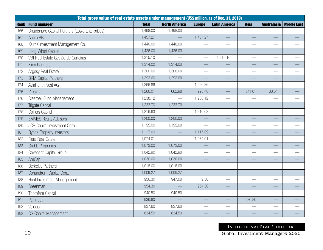|             | Total gross value of real estate assets under management (US\$ million, as of Dec. 31, 2019) |              |                      |               |                      |                          |                    |                    |  |  |  |
|-------------|----------------------------------------------------------------------------------------------|--------------|----------------------|---------------|----------------------|--------------------------|--------------------|--------------------|--|--|--|
| <b>Rank</b> | <b>Fund manager</b>                                                                          | <b>Total</b> | <b>North America</b> | <b>Europe</b> | <b>Latin America</b> | <b>Asia</b>              | <b>Australasia</b> | <b>Middle East</b> |  |  |  |
| 166         | Broadshore Capital Partners (Lowe Enterprises)                                               | 1,498.00     | 1,498.00             |               |                      |                          |                    |                    |  |  |  |
| 167         | Areim AB                                                                                     | 1,457.27     |                      | 1,457.27      |                      |                          |                    |                    |  |  |  |
| 168         | Kairos Investment Management Co.                                                             | 1,440.00     | 1,440.00             |               | $\frac{1}{2}$        | $\overline{\phantom{0}}$ |                    |                    |  |  |  |
| 169         | Long Wharf Capital                                                                           | 1,426.00     | 1,426.00             |               |                      |                          |                    |                    |  |  |  |
| 170         | VBI Real Estate Gestão de Carteiras                                                          | 1,315.10     |                      |               | 1,315.10             | $\overline{\phantom{0}}$ |                    |                    |  |  |  |
| 171         | <b>Elion Partners</b>                                                                        | 1,314.00     | 1,314.00             |               |                      |                          |                    |                    |  |  |  |
| 172         | Argosy Real Estate                                                                           | 1,300.00     | 1,300.00             |               |                      |                          |                    |                    |  |  |  |
| 173         | <b>BKM Capital Partners</b>                                                                  | 1,292.60     | 1,292.60             |               |                      |                          |                    |                    |  |  |  |
| 174         | AviaRent Invest AG                                                                           | 1,266.86     |                      | 1,266.86      |                      |                          |                    |                    |  |  |  |
| 175         | Presima                                                                                      | 1,266.01     | 662.98               | 223.48        |                      | 341.01                   | 38.54              |                    |  |  |  |
| 176         | <b>Clearbell Fund Management</b>                                                             | 1,238.12     |                      | 1,238.12      |                      |                          |                    |                    |  |  |  |
| 177         | <b>Trigate Capital</b>                                                                       | 1,233.70     | 1,233.70             |               |                      |                          |                    |                    |  |  |  |
| 178         | <b>Colliers Capital</b>                                                                      | 1,216.63     |                      | 1,216.63      |                      |                          |                    |                    |  |  |  |
| 179         | <b>EMMES Realty Advisors</b>                                                                 | 1,200.00     | 1,200.00             |               |                      |                          |                    |                    |  |  |  |
| 180         | JCR Capital Investment Corp.                                                                 | 1,195.00     | 1,195.00             |               |                      |                          |                    |                    |  |  |  |
| 181         | Rynda Property Investors                                                                     | 1,117.09     |                      | 1,117.09      |                      |                          |                    |                    |  |  |  |
| 182         | Fiera Real Estate                                                                            | 1,074.01     |                      | 1,074.01      |                      |                          |                    |                    |  |  |  |
| 183         | <b>Grubb Properties</b>                                                                      | 1,073.00     | 1,073.00             |               |                      |                          |                    |                    |  |  |  |
| 184         | Covenant Capital Group                                                                       | 1,042.90     | 1,042.90             |               |                      |                          |                    |                    |  |  |  |
| 185         | AmCap                                                                                        | 1,030.00     | 1,030.00             |               |                      |                          |                    |                    |  |  |  |
| 186         | <b>Berkeley Partners</b>                                                                     | 1,018.00     | 1,018.00             |               |                      |                          |                    |                    |  |  |  |
| 187         | Conundrum Capital Corp.                                                                      | 1,009.27     | 1,009.27             |               |                      |                          |                    |                    |  |  |  |
| 188         | Hunt Investment Management                                                                   | 956.30       | 947.00               | 9.30          |                      |                          |                    |                    |  |  |  |
| 189         | Greenman                                                                                     | 954.30       |                      | 954.30        |                      |                          |                    |                    |  |  |  |
| 190         | Thorofare Capital                                                                            | 940.50       | 940.50               |               |                      | $\overline{\phantom{0}}$ |                    |                    |  |  |  |
| 191         | Pamfleet                                                                                     | 936.80       |                      |               |                      | 936.80                   |                    |                    |  |  |  |
| 192         | Velocis                                                                                      | 837.60       | 837.60               |               |                      |                          |                    |                    |  |  |  |
| 193         | <b>CS Capital Management</b>                                                                 | 834.59       | 834.59               |               |                      |                          |                    |                    |  |  |  |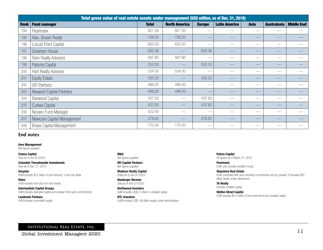|             | Total gross value of real estate assets under management (US\$ million, as of Dec. 31, 2019) |              |                      |               |                      |                          |                    |                    |
|-------------|----------------------------------------------------------------------------------------------|--------------|----------------------|---------------|----------------------|--------------------------|--------------------|--------------------|
| <b>Rank</b> | <b>Fund manager</b>                                                                          | <b>Total</b> | <b>North America</b> | <b>Europe</b> | <b>Latin America</b> | <b>Asia</b>              | <b>Australasia</b> | <b>Middle East</b> |
| 194         | Pearlmark                                                                                    | 821.50       | 821.50               |               |                      |                          |                    |                    |
| 195         | Alex. Brown Realty                                                                           | 708.20       | 708.20               |               |                      |                          |                    |                    |
| 196         | Locust Point Capital                                                                         | 620.00       | 620.00               |               |                      |                          |                    |                    |
| 197         | Gresham House                                                                                | 600.36       |                      | 600.36        |                      |                          |                    |                    |
| 198         | Ram Realty Advisors                                                                          | 587.80       | 587.80               |               |                      |                          |                    |                    |
| 199         | Paloma Capital                                                                               | 553.53       |                      | 553.53        |                      |                          |                    |                    |
| 200         | <b>Hart Realty Advisers</b>                                                                  | 534.00       | 534.00               |               |                      |                          |                    |                    |
| 201         | <b>Equity Estate</b>                                                                         | 505.22       |                      | 505.22        |                      |                          |                    |                    |
| 202         | <b>GFI Partners</b>                                                                          | 496.00       | 496.00               |               |                      | $\overline{\phantom{a}}$ |                    |                    |
| 203         | Newport Capital Partners                                                                     | 446.00       | 446.00               |               |                      |                          |                    |                    |
| 204         | <b>Barwood Capital</b>                                                                       | 437.83       |                      | 437.83        |                      |                          |                    |                    |
| 205         | <b>Curlew Capital</b>                                                                        | 437.83       |                      | 437.83        |                      |                          |                    |                    |
| 206         | Novare Fund Manager                                                                          | 422.00       |                      |               |                      |                          |                    |                    |
| 207         | Newcore Capital Management                                                                   | 278.62       |                      | 278.62        |                      |                          |                    |                    |
| 208         | <b>Brasa Capital Management</b>                                                              | 170.00       | 170.00               |               |                      |                          |                    |                    |

### **End notes**

### Ares Management

Net figures supplied

Colony Capital Data as of end Q1/2020

Columbia Threadneedle Investments Data as of Dec. 31, 2019

**Greystar** AUM includes \$10 billion of joint ventures 's and club deals

Hines AUM includes fund and non-fund assets

Intermediate Capital Groupo AUM includes deployed capital and undrawn third party commitments

Landmark Partners AUM includes committed capital M&G Net figures supplied

M3 Capital Partners Net figures supplied

Madison Realty Capital Ddata as of end Q1/2020

Neuberger Berman Data as of end Q1/2020

Northwood Investors AuM includes US\$2.5 billion in uncalled capital

NYL Investors AUM includes US\$1.48 billion assets under administration Patron Capital All figures as of March 31, 2020

Pearlmark AUM only includes invested money

Stepstone Real Estate AUM comprises NAV plus unfunded commitments and dry powder. It excludes \$97 billion assets under advisement.

TA Realty Includes uncalled capital Walton Street Capital

AUM includes \$2.8 billion of fund level items and uncalled capital.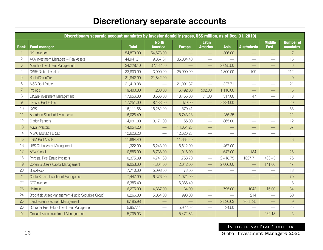# Discretionary separate accounts

|                | Discretionary separate account mandates by investor domicile (gross, US\$ million, as of Dec. 31, 2019) |              |                                |               |                                |                          |                          |                              |                                     |
|----------------|---------------------------------------------------------------------------------------------------------|--------------|--------------------------------|---------------|--------------------------------|--------------------------|--------------------------|------------------------------|-------------------------------------|
| <b>Rank</b>    | <b>Fund manager</b>                                                                                     | <b>Total</b> | <b>North</b><br><b>America</b> | <b>Europe</b> | <b>Latin</b><br><b>America</b> | <b>Asia</b>              | <b>Australasia</b>       | <b>Middle</b><br><b>East</b> | <b>Number of</b><br><b>mandates</b> |
|                | <b>NYL Investors</b>                                                                                    | 54,879.00    | 54,573.00                      |               |                                | 306.00                   |                          |                              | $\overline{7}$                      |
| $\mathbf{2}$   | AXA Investment Managers - Real Assets                                                                   | 44,941.71    | 9,857.31                       | 35,084.40     | $\frac{1}{2}$                  |                          |                          |                              | 15                                  |
| 3              | Manulife Investment Management                                                                          | 34,228.10    | 32,132.60                      |               |                                | 2,095.50                 |                          |                              | $6\phantom{1}6$                     |
| 4              | <b>CBRE</b> Global Investors                                                                            | 33,800.00    | 3,000.00                       | 25,900.00     |                                | 4,800.00                 | 100                      |                              | 212                                 |
| 5              | <b>BentallGreenOak</b>                                                                                  | 21,842.00    | 21,842.00                      |               |                                |                          | $\qquad \qquad -$        |                              | $\overline{9}$                      |
| 6              | M&G Real Estate                                                                                         | 21,419.08    |                                | 21,091.37     |                                | 327.71                   | $\overline{\phantom{0}}$ |                              | 21                                  |
| $\overline{7}$ | Prologis                                                                                                | 19,400.00    | 11,288.00                      | 6,492.00      | 502.00                         | 1,118.00                 |                          |                              | 5                                   |
| 8              | LaSalle Investment Management                                                                           | 17,656.00    | 3,566.00                       | 13,455.00     | 71.00                          | 517.00                   | 47                       |                              | 118                                 |
| $\overline{9}$ | <b>Invesco Real Estate</b>                                                                              | 17,251.00    | 8,188.00                       | 679.00        | $\overline{\phantom{0}}$       | 8,384.00                 | $\overline{\phantom{0}}$ |                              | 20                                  |
| 10             | <b>DWS</b>                                                                                              | 16,111.88    | 15,282.99                      | 579.41        |                                |                          |                          |                              | 66                                  |
| 11             | Aberdeen Standard Investments                                                                           | 16,028.49    |                                | 15,743.23     |                                | 285.25                   |                          |                              | 22                                  |
| 12             | <b>Clarion Partners</b>                                                                                 | 14,091.00    | 13,171.00                      | 55.00         | $\frac{1}{2}$                  | 865.00                   | $\frac{1}{2}$            |                              | 12                                  |
| 13             | Aviva Investors                                                                                         | 14,054.28    |                                | 14,054.28     |                                |                          |                          |                              | 67                                  |
| 14             | MEAG MUNICH ERGO                                                                                        | 12,626.23    |                                | 12,626.23     | $\frac{1}{2}$                  |                          |                          |                              | 11                                  |
| 15             | <b>LGIM Real Assets</b>                                                                                 | 11,664.40    |                                | 11,664.40     |                                | $\overline{\phantom{0}}$ | —<br>—                   |                              | $6\phantom{.}6$                     |
| 16             | <b>UBS Global Asset Management</b>                                                                      | 11,322.00    | 5,243.00                       | 5,612.00      | $\overbrace{\hspace{27mm}}$    | 467.00                   |                          |                              | $\frac{1}{1}$                       |
| 17             | <b>AEW Global</b>                                                                                       | 10,585.00    | 8,738.00                       | 1,016.00      | $\overline{\phantom{0}}$       | 647.00                   | 184                      |                              | 26                                  |
| 18             | Principal Real Estate Investors                                                                         | 10,375.39    | 4,741.80                       | 1,753.70      | $\overline{\phantom{m}}$       | 2,418.75                 | 1027.71                  | 433.43                       | 76                                  |
| 19             | Cohen & Steers Capital Management                                                                       | 9,053.00     | 4,864.00                       | 2,042.00      | $\qquad \qquad$                | 2,006.00                 | $\overline{\phantom{0}}$ | 141.00                       | 47                                  |
| 20             | <b>BlackRock</b>                                                                                        | 7,710.00     | 5,098.00                       | 73.00         | $\overline{\phantom{0}}$       | $\overline{\phantom{0}}$ | $\overline{\phantom{0}}$ |                              | 18                                  |
| 21             | CenterSquare Investment Management                                                                      | 7,447.00     | 6,376.00                       | 1,071.00      | $\overline{\phantom{0}}$       | $\overline{\phantom{0}}$ |                          |                              | 70                                  |
| 22             | DTZ Investors                                                                                           | 6,385.40     |                                | 6,385.40      | $\overline{\phantom{0}}$       |                          |                          |                              | 8                                   |
| 23             | Heitman                                                                                                 | 6,275.00     | 4,387.00                       | 34.00         |                                | 795.00                   | 1043                     | 16.00                        | 34                                  |
| 24             | Brookfield Asset Management (Public Securities Group)                                                   | 6,266.00     | 5,054.00                       | 998.00        |                                |                          | 214                      |                              | 60                                  |
| 25             | LendLease Investment Management                                                                         | 6,185.98     |                                |               |                                | 2,530.63                 | 3655.35                  |                              | 9                                   |
| 26             | Schroder Real Estate Investment Management                                                              | 5,957.11     | $\overline{\phantom{0}}$       | 5,922.62      | $\frac{1}{2}$                  | 34.50                    | $\overline{\phantom{0}}$ |                              | 25                                  |
| 27             | Orchard Street Investment Management                                                                    | 5,705.03     |                                | 5,472.85      |                                |                          |                          | 232.18                       | 5                                   |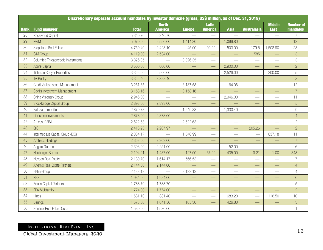|             | Discretionary separate account mandates by investor domicile (gross, US\$ million, as of Dec. 31, 2019) |              |                                |                          |                                 |                              |                          |                              |                                     |
|-------------|---------------------------------------------------------------------------------------------------------|--------------|--------------------------------|--------------------------|---------------------------------|------------------------------|--------------------------|------------------------------|-------------------------------------|
| <b>Rank</b> | <b>Fund manager</b>                                                                                     | <b>Total</b> | <b>North</b><br><b>America</b> | <b>Europe</b>            | <b>Latin</b><br><b>America</b>  | <b>Asia</b>                  | <b>Australasia</b>       | <b>Middle</b><br><b>East</b> | <b>Number of</b><br><b>mandates</b> |
| 28          | Rockwood Capital                                                                                        | 5,340.70     | 5,340.70                       | $\overline{\phantom{0}}$ | $\overbrace{\hspace{15em}}$     | $\overline{\phantom{m}}$     |                          | $\overline{\phantom{0}}$     | $\overline{7}$                      |
| 29          | <b>PGIM</b>                                                                                             | 5,070.60     | 2,556.60                       | 1,414.20                 |                                 | 1,099.80                     |                          |                              | 13                                  |
| 30          | Stepstone Real Estate                                                                                   | 4,750.40     | 2,423.10                       | 45.00                    | 90.90                           | 503.00                       | 179.5                    | 1,508.90                     | 23                                  |
| 31          | <b>CIM Group</b>                                                                                        | 4,119.00     | 2,534.00                       |                          | $\overline{\phantom{0}}$        |                              | 1585                     | <u>—</u>                     | 3                                   |
| 32          | Columbia Threadneedle Investments                                                                       | 3,826.35     |                                | 3,826.35                 | $\hspace{0.05cm}$               |                              |                          | $\overline{\phantom{0}}$     | 3                                   |
| 33          | <b>Acore Capital</b>                                                                                    | 3,500.00     | 600.00                         |                          |                                 | 2,900.00                     |                          |                              | $\overline{c}$                      |
| 34          | <b>Tishman Speyer Properties</b>                                                                        | 3,326.00     | 500.00                         |                          |                                 | 2,526.00                     |                          | 300.00                       | 5                                   |
| 35          | <b>TA Realty</b>                                                                                        | 3,322.40     | 3,322.40                       | <u>—</u>                 | $\hspace{0.1mm}-\hspace{0.1mm}$ |                              |                          |                              | $8\,$                               |
| 36          | Credit Suisse Asset Management                                                                          | 3,251.65     | $\overline{\phantom{0}}$       | 3,187.58                 | $\hspace{0.05cm}$               | 64.06                        |                          | $\overline{\phantom{0}}$     | 12                                  |
| 37          | Savills Investment Management                                                                           | 3,158.16     |                                | 3,158.16                 |                                 |                              | $\overline{\phantom{0}}$ |                              | $\overline{7}$                      |
| 38          | China Visionary Group                                                                                   | 2,946.00     | $\frac{1}{2}$                  | $\overline{\phantom{0}}$ | $\overline{\phantom{m}}$        | 2,946.00                     |                          | $\qquad \qquad$              | 11                                  |
| 39          | Stockbridge Capital Group                                                                               | 2,893.00     | 2,893.00                       |                          | $\overline{\phantom{0}}$        |                              |                          |                              | 5                                   |
| 40          | Patrizia Immobilien                                                                                     | 2,879.73     |                                | 1,549.33                 | $\overline{\phantom{m}}$        | 1,330.40                     | $\overline{\phantom{0}}$ | $\qquad \qquad$              | $\hbox{9}$                          |
| 41          | Lionstone Investments                                                                                   | 2,878.00     | 2,878.00                       |                          | $\hspace{0.05cm}$               | $\overline{\phantom{0}}$     |                          |                              | $\overline{4}$                      |
| 42          | Amvest REIM                                                                                             | 2,622.63     |                                | 2,622.63                 |                                 |                              | $\overline{\phantom{0}}$ |                              | $\overline{2}$                      |
| 43          | QIC                                                                                                     | 2,413.23     | 2,207.97                       |                          |                                 |                              | 205.26                   |                              | $\overline{c}$                      |
| 44          | Intermediate Capital Group (ICG)                                                                        | 2,384.17     |                                | 1,546.99                 |                                 | $\overbrace{\qquad \qquad }$ |                          | 837.18                       | 11                                  |
| 45          | <b>Amherst Holdings</b>                                                                                 | 2,363.60     | 2,363.60                       |                          |                                 |                              |                          |                              | $\overline{7}$                      |
| 46          | Angelo Gordon                                                                                           | 2,303.00     | 2,251.00                       |                          | $\overline{\phantom{m}}$        | 52.00                        |                          |                              | 6                                   |
| 47          | Neuberger Berman                                                                                        | 2,194.21     | 1,437.00                       | 127.00                   | 67.00                           | 435.00                       | 0.21                     | 1.00                         | 348                                 |
| 48          | Nuveen Real Estate                                                                                      | 2,180.70     | 1,614.17                       | 566.53                   |                                 | $\overline{\phantom{a}}$     |                          |                              | $\overline{7}$                      |
| 49          | Artemis Real Estate Partners                                                                            | 2,144.00     | 2,144.00                       |                          | $\overline{\phantom{0}}$        |                              | $\overline{\phantom{0}}$ |                              | $\overline{4}$                      |
| 50          | Hahn Group                                                                                              | 2,133.13     |                                | 2,133.13                 |                                 | $\overbrace{\hspace{27mm}}$  | $\overline{\phantom{0}}$ |                              | $\overline{4}$                      |
| 51          | <b>KBS</b>                                                                                              | 1,984.00     | 1,984.00                       |                          | --                              |                              | ٠                        |                              | $6\,$                               |
| 52          | <b>Equus Capital Partners</b>                                                                           | 1,788.70     | 1,788.70                       |                          |                                 | $\overline{\phantom{a}}$     | $\overline{\phantom{0}}$ |                              | 5                                   |
| 53          | FPA Multifamily                                                                                         | 1,774.00     | 1,774.00                       |                          | $\overbrace{\qquad \qquad }^{}$ | $\overline{\phantom{0}}$     | $\overline{\phantom{0}}$ |                              | $\overline{2}$                      |
| 54          | Hines                                                                                                   | 1,681.10     | 881.40                         | $\overline{\phantom{0}}$ |                                 | 683.20                       |                          | 116.50                       | 10                                  |
| 55          | <b>Barings</b>                                                                                          | 1,573.60     | 1,041.50                       | 105.30                   | $\overline{\phantom{0}}$        | 426.80                       |                          |                              | $\sqrt{3}$                          |
| 56          | Sentinel Real Estate Corp.                                                                              | 1,530.00     | 1,530.00                       | $\overline{\phantom{0}}$ | $\overline{\phantom{m}}$        |                              | $\qquad \qquad$          | $\qquad \qquad$              | $\mathbf{1}$                        |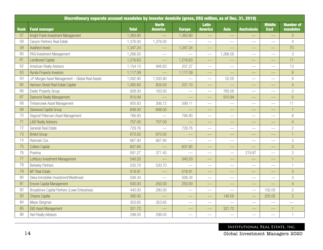|      | Discretionary separate account mandates by investor domicile (gross, US\$ million, as of Dec. 31, 2019) |              |                                |                          |                                 |                             |                             |                              |                              |
|------|---------------------------------------------------------------------------------------------------------|--------------|--------------------------------|--------------------------|---------------------------------|-----------------------------|-----------------------------|------------------------------|------------------------------|
| Rank | <b>Fund manager</b>                                                                                     | <b>Total</b> | <b>North</b><br><b>America</b> | <b>Europe</b>            | <b>Latin</b><br><b>America</b>  | <b>Asia</b>                 | <b>Australasia</b>          | <b>Middle</b><br><b>East</b> | <b>Number of</b><br>mandates |
| 57   | Knight Frank Investment Management                                                                      | 1,383.80     |                                | 1,383.80                 |                                 |                             |                             |                              | 3                            |
| 58   | Canyon Partners Real Estate                                                                             | 1,376.00     | 1,376.00                       |                          |                                 |                             | $\qquad \qquad$             | $\overline{\phantom{0}}$     | $\overline{4}$               |
| 59   | <b>AviaRent Invest</b>                                                                                  | 1,347.24     |                                | 1,347.24                 |                                 |                             |                             |                              | 70                           |
| 60   | PAG Investment Management                                                                               | 1,266.00     |                                |                          |                                 | 1,266.00                    | $\mathcal{L}_{\mathcal{A}}$ |                              | 3                            |
| 61   | LendInvest Capital                                                                                      | 1,216.63     |                                | 1,216.63                 |                                 |                             |                             |                              | 11                           |
| 62   | American Realty Advisors                                                                                | 1,154.10     | 946.83                         | 207.27                   | $\overline{\phantom{0}}$        |                             |                             |                              | 13                           |
| 63   | <b>Rynda Property Investors</b>                                                                         | 1,117.09     |                                | 1,117.09                 | $\overline{\phantom{0}}$        |                             |                             |                              | 8                            |
| 64   | J.P. Morgan Asset Management - Global Real Assets                                                       | 1,082.90     | 1,030.90                       |                          |                                 | 52.00                       | $\overline{\phantom{0}}$    |                              | $\hbox{g}$                   |
| 65   | Harrison Street Real Estate Capital                                                                     | 1,065.60     | 834.50                         | 231.10                   |                                 |                             |                             |                              | $\overline{4}$               |
| 66   | Exeter Property Group                                                                                   | 928.00       | 163.00                         |                          | $\overline{\phantom{a}}$        | 765.00                      | $\overline{\phantom{0}}$    |                              | $\overline{c}$               |
| 67   | <b>Diamond Realty Management</b>                                                                        | 910.94       | $\overline{\phantom{a}}$       |                          | $\frac{1}{2}$                   | 910.94                      | —<br>—                      |                              | 5                            |
| 68   | Timbercreek Asset Management                                                                            | 905.83       | 306.72                         | 599.11                   | $\overline{\phantom{m}}$        |                             | $\qquad \qquad$             | $\overline{\phantom{0}}$     | 11                           |
| 69   | <b>Starwood Capital Group</b>                                                                           | 848.00       | 848.00                         |                          |                                 |                             |                             |                              | $\overline{1}$               |
| 70   | Degroof Petercam Asset Management                                                                       | 766.80       | $\overline{\phantom{0}}$       | 766.80                   | $\overline{\phantom{m}}$        | $\frac{1}{2}$               | $\qquad \qquad$             | $\sim$                       | $\, 8$                       |
| 71   | <b>L&amp;B Realty Advisors</b>                                                                          | 757.00       | 757.00                         |                          |                                 |                             |                             |                              | $\overline{4}$               |
| 72   | Generali Real Estate                                                                                    | 729.76       |                                | 729.76                   |                                 | $\frac{1}{2}$               |                             | $\overline{\phantom{0}}$     | $\overline{c}$               |
| 73   | <b>Bristol Group</b>                                                                                    | 670.50       | 670.50                         |                          |                                 |                             |                             |                              | $\overline{1}$               |
| 74   | Resmark Cos.                                                                                            | 667.90       | 667.90                         | $\overline{\phantom{0}}$ | $\hspace{0.1mm}-\hspace{0.1mm}$ | $\overline{\phantom{a}}$    |                             |                              | 3                            |
| 75   | <b>Colliers Capital</b>                                                                                 | 607.65       |                                | 607.65                   |                                 |                             |                             |                              | 3                            |
| 76   | Presima                                                                                                 | 591.27       | 371.40                         |                          |                                 |                             | 219.87                      |                              | 3                            |
| 77   | Lothbury Investment Management                                                                          | 540.20       |                                | 540.20                   |                                 |                             |                             |                              |                              |
| 78   | <b>Berkeley Partners</b>                                                                                | 530.70       | 530.70                         |                          | $\overbrace{\hspace{27mm}}$     | $\overline{\phantom{a}}$    | $\overline{\phantom{0}}$    |                              | $\mathbf{1}$                 |
| 79   | M7 Real Estate                                                                                          | 518.91       |                                | 518.91                   |                                 | —                           |                             |                              | 3                            |
| 80   | Deka Immobilien Investment/WestInvest                                                                   | 506.34       |                                | 506.34                   | $\overline{\phantom{a}}$        | $\overbrace{\hspace{15em}}$ | $\overline{\phantom{0}}$    | $\sim$                       | 3                            |
| 81   | <b>Encore Capital Management</b>                                                                        | 500.00       | 250.00                         | 250.00                   |                                 |                             |                             |                              | $\overline{4}$               |
| 82   | Broadshore Capital Partners (Lowe Enterprises)                                                          | 440.00       | 290.00                         | $\overline{\phantom{0}}$ | $\overline{\phantom{a}}$        |                             |                             | 150.00                       | $\overline{c}$               |
| 83   | <b>Cheyne Capital</b>                                                                                   | 395.00       |                                |                          |                                 | 140.00                      |                             | 255.00                       | 3                            |
| 84   | Meyer Bergman                                                                                           | 353.65       | 353.65                         | $\overline{\phantom{0}}$ |                                 |                             | $\qquad \qquad$             |                              |                              |
| 85   | <b>IGIS Asset Management</b>                                                                            | 321.72       |                                |                          |                                 | 321.72                      |                             |                              | $\overline{1}$               |
| 86   | <b>Hart Realty Advisers</b>                                                                             | 298.00       | 298.00                         | $\overline{\phantom{0}}$ |                                 | $\overline{\phantom{0}}$    | $\overline{\phantom{a}}$    |                              | $\mathbf{1}$                 |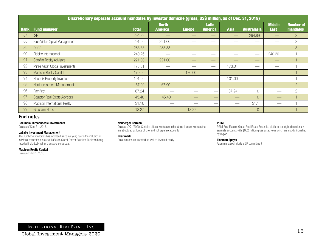|      | Discretionary separate account mandates by investor domicile (gross, US\$ million, as of Dec. 31, 2019) |              |                                |                          |                                |             |                                |                              |                              |
|------|---------------------------------------------------------------------------------------------------------|--------------|--------------------------------|--------------------------|--------------------------------|-------------|--------------------------------|------------------------------|------------------------------|
| Rank | <b>Fund manager</b>                                                                                     | <b>Total</b> | <b>North</b><br><b>America</b> | <b>Europe</b>            | <b>Latin</b><br><b>America</b> | <b>Asia</b> | <b>Australasia</b>             | <b>Middle</b><br><b>East</b> | <b>Number of</b><br>mandates |
| 87   | <b>ISPT</b>                                                                                             | 294.89       |                                | $\overline{\phantom{a}}$ | $\overline{\phantom{a}}$       |             | 294.89                         |                              | $\overline{2}$               |
| 88   | Blue Vista Capital Management                                                                           | 291.00       | 291.00                         | $\overline{\phantom{a}}$ |                                |             |                                | $\overline{\phantom{a}}$     | $\overline{2}$               |
| 89   | <b>PCCP</b>                                                                                             | 283.33       | 283.33                         |                          |                                |             | $-$                            |                              | 3                            |
| 90   | Fidelity International                                                                                  | 240.26       | __                             |                          |                                |             | $\overbrace{\hspace{25mm}}^{}$ | 240.26                       |                              |
| 91   | <b>Sarofim Realty Advisors</b>                                                                          | 221.00       | 221.00                         | $\qquad \qquad - \qquad$ | __                             | __          | $-$                            | __                           |                              |
| 92   | Mirae Asset Global Investments                                                                          | 173.01       |                                |                          | $\overline{\phantom{a}}$       | 173.01      |                                |                              |                              |
| 93   | <b>Madison Realty Capital</b>                                                                           | 170.00       | __                             | 170.00                   | $\overline{\phantom{a}}$       | __          | __                             | __                           |                              |
| 94   | Phoenix Property Investors                                                                              | 101.00       |                                | __                       |                                | 101.00      | $\hspace{0.05cm}$              | __                           |                              |
| 95   | Hunt Investment Management                                                                              | 67.90        | 67.90                          |                          | __                             | __          | $-$                            |                              | $\overline{2}$               |
| 96   | Pamfleet                                                                                                | 87.24        | __                             | __                       |                                | 87.24       | $\bigcap$                      |                              | $\overline{2}$               |
| 97   | <b>Sculptor Real Estate Advisors</b>                                                                    | 45.40        | 45.40                          | __                       |                                |             |                                |                              |                              |
| 98   | Madison International Realty                                                                            | 31.10        |                                | __                       |                                |             | 31.1                           | $\qquad \qquad$              |                              |
| 99   | <b>Gresham House</b>                                                                                    | 13.27        |                                | 13.27                    |                                | __          |                                |                              |                              |

### **End notes**

### Columbia Threadneedle Investments

Data as of Dec. 31, 2018

### LaSalle Investment Management

The number of mandates has increased since last year, due to the inclusion of individual mandates run out of LaSalle's Global Partner Solutions Business being reported individually rather than as one mandate.

### Madison Realty Capital

Data as of July 1, 2020

### Neuberger Berman

Pearlmark

Data as of Q1/2020. Contains sidecar vehicles or other single-investor vehicles that are structured as funds of one, and not separate accounts.

Data includes un-invested as well as invested equity

### PGIM

PGIM Real Estate's Global Real Estate Securities platform has eight discretionary separate accounts with \$932 million gross asset value which are not distinguished by region.

### Tishman Speyer

Asian mandates include a GP commitment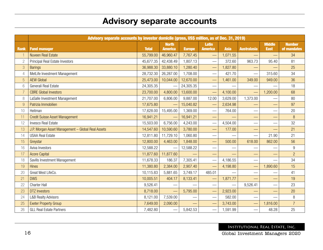# Advisory separate accounts

|                | Advisory separate accounts by investor domicile (gross, US\$ million, as of Dec. 31, 2019) |              |                                |               |                                |             |                          |                              |                              |
|----------------|--------------------------------------------------------------------------------------------|--------------|--------------------------------|---------------|--------------------------------|-------------|--------------------------|------------------------------|------------------------------|
| <b>Rank</b>    | <b>Fund manager</b>                                                                        | <b>Total</b> | <b>North</b><br><b>America</b> | <b>Europe</b> | <b>Latin</b><br><b>America</b> | <b>Asia</b> | <b>Australasia</b>       | <b>Middle</b><br><b>East</b> | <b>Number</b><br>of mandates |
| $\overline{1}$ | <b>Nuveen Real Estate</b>                                                                  | 55,799.00    | 46,960.47                      | 7,767.45      |                                | 1,071.55    |                          |                              | 34                           |
| $\overline{c}$ | Principal Real Estate Investors                                                            | 45,677.35    | 42,438.49                      | 1,807.13      |                                | 372.60      | 963.73                   | 95.40                        | 81                           |
| 3              | <b>Barings</b>                                                                             | 36,988.30    | 33,880.10                      | 1,280.40      | $\overline{\phantom{0}}$       | 1,827.80    |                          |                              | 25                           |
| $\overline{4}$ | MetLife Investment Management                                                              | 28,732.30    | 26,287.00                      | 1,708.00      |                                | 421.70      |                          | 315.60                       | 34                           |
| 5              | <b>AEW Global</b>                                                                          | 25,473.00    | 10,044.00                      | 12,670.00     |                                | 1,461.00    | 349.00                   | 949.00                       | 36                           |
| 6              | Generali Real Estate                                                                       | 24,305.35    |                                | 24,305.35     |                                |             |                          |                              | 18                           |
| $\overline{7}$ | <b>CBRE Global Investors</b>                                                               | 23,700.00    | 4,800.00                       | 13,600.00     |                                | 4,100.00    |                          | 1,200.00                     | 68                           |
| 8              | LaSalle Investment Management                                                              | 21,707.00    | 6,806.00                       | 9,887.00      | 12.00                          | 3,629.00    | 1,373.00                 |                              | 80                           |
| $\hbox{9}$     | Patrizia Immobilien                                                                        | 17,675.80    |                                | 15,040.82     | $\overline{\phantom{0}}$       | 2,634.98    |                          |                              | 97                           |
| 10             | Heitman                                                                                    | 17,628.00    | 15,495.00                      | 1,369.00      |                                | 764.00      | $\overline{\phantom{0}}$ |                              | 20                           |
| 11             | <b>Credit Suisse Asset Management</b>                                                      | 16,941.21    |                                | 16,941.21     | $\overline{\phantom{0}}$       |             |                          |                              | 8                            |
| 12             | <b>Invesco Real Estate</b>                                                                 | 15,503.00    | 6,756.00                       | 4,243.00      |                                | 4,504.00    |                          |                              | 32                           |
| 13             | J.P. Morgan Asset Management - Global Real Assets                                          | 14,547.60    | 10,590.60                      | 3,780.00      |                                | 177.00      | -                        |                              | 21                           |
| 14             | <b>USAA Real Estate</b>                                                                    | 12,811.80    | 11,729.10                      | 1,060.80      |                                |             |                          | 21.90                        | 21                           |
| 15             | Greystar                                                                                   | 12,800.00    | 4,463.00                       | 1,848.00      |                                | 500.00      | 618.00                   | 862.00                       | 56                           |
| 16             | Aviva Investors                                                                            | 12,588.22    |                                | 12,588.22     |                                |             |                          |                              | 9                            |
| 17             | <b>Acore Capital</b>                                                                       | 11,877.60    | 11,877.60                      |               | —                              |             | —                        |                              | $\overline{2}$               |
| 18             | Savills Investment Management                                                              | 11,678.33    | 186.37                         | 7,305.41      |                                | 4,186.55    |                          |                              | 34                           |
| 19             | <b>Hines</b>                                                                               | 11,380.80    | 2,384.00                       | 2,907.40      | $\overline{\phantom{0}}$       | 4,198.80    |                          | 1,890.60                     | 15                           |
| 20             | Great West LifeCo.                                                                         | 10,115.83    | 5,881.65                       | 3,749.17      | 485.01                         |             |                          |                              | 41                           |
| 21             | <b>DWS</b>                                                                                 | 10,005.51    | 404.17                         | 8,133.41      |                                | 1,871.77    |                          |                              | 19                           |
| 22             | <b>Charter Hall</b>                                                                        | 9,526.41     |                                |               |                                |             | 9,526.41                 |                              | 23                           |
| 23             | <b>DTZ Investors</b>                                                                       | 8,718.00     | $\overline{\phantom{0}}$       | 5,795.00      | $\qquad \qquad$                | 2,923.00    |                          |                              | 20                           |
| 24             | <b>L&amp;B Realty Advisors</b>                                                             | 8,121.00     | 7,539.00                       |               |                                | 582.00      |                          |                              | 8                            |
| 25             | <b>Exeter Property Group</b>                                                               | 7,649.00     | 2,090.00                       |               |                                | 3,743.00    |                          | 1,816.00                     | $\overline{7}$               |
| 26             | <b>GLL Real Estate Partners</b>                                                            | 7,482.80     |                                | 5,842.53      |                                | 1,591.99    | $\overline{\phantom{0}}$ | 48.28                        | 25                           |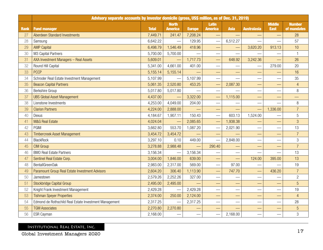|             | Advisory separate accounts by investor domicile (gross, US\$ million, as of Dec. 31, 2019) |              |                                |               |                                |             |                          |                              |                              |  |
|-------------|--------------------------------------------------------------------------------------------|--------------|--------------------------------|---------------|--------------------------------|-------------|--------------------------|------------------------------|------------------------------|--|
| <b>Rank</b> | <b>Fund manager</b>                                                                        | <b>Total</b> | <b>North</b><br><b>America</b> | <b>Europe</b> | <b>Latin</b><br><b>America</b> | <b>Asia</b> | <b>Australasia</b>       | <b>Middle</b><br><b>East</b> | <b>Number</b><br>of mandates |  |
| 27          | Aberdeen Standard Investments                                                              | 7,449.71     | 241.47                         | 7,208.24      |                                |             |                          |                              | 28                           |  |
| 28          | Samsung                                                                                    | 6,642.22     |                                | 129.95        | $\frac{1}{1}$                  | 6,512.27    |                          |                              | 57                           |  |
| 29          | <b>AMP Capital</b>                                                                         | 6,498.79     | 1,546.49                       | 418.96        |                                |             | 3,620.20                 | 913.13                       | 10                           |  |
| 30          | M3 Capital Partners                                                                        | 5,700.00     | 5,700.00                       |               |                                |             |                          |                              | $\overline{1}$               |  |
| 31          | AXA Investment Managers - Real Assets                                                      | 5,609.01     |                                | 1,717.73      |                                | 648.92      | 3,242.36                 |                              | 26                           |  |
| 32          | Round Hill Capital                                                                         | 5,341.00     | 4,661.00                       | 401.00        |                                |             |                          | 279.00                       | 20                           |  |
| 33          | <b>PCCP</b>                                                                                | 5,155.14     | 5,155.14                       |               | $\overline{\phantom{0}}$       |             | —                        |                              | 16                           |  |
| 34          | Schroder Real Estate Investment Management                                                 | 5,107.99     |                                | 5,107.99      |                                |             |                          |                              | 35                           |  |
| 35          | <b>Beacon Capital Partners</b>                                                             | 5,061.35     | 2,520.80                       | 453.25        |                                | 2,087.30    |                          |                              | 4                            |  |
| 36          | Berkshire Group                                                                            | 5,017.80     | 5,017.80                       |               |                                |             |                          |                              | 8                            |  |
| 37          | <b>UBS Global Asset Management</b>                                                         | 4,437.00     |                                | 3,322.00      |                                | 1,115.00    |                          |                              | $\overline{\phantom{0}}$     |  |
| 38          | Lionstone Investments                                                                      | 4,253.00     | 4,049.00                       | 204.00        |                                |             |                          |                              | 8                            |  |
| 39          | <b>Clarion Partners</b>                                                                    | 4,224.00     | 2,888.00                       |               |                                |             |                          | 1,336.00                     | $\overline{7}$               |  |
| 40          | Dexus                                                                                      | 4,184.67     | 1,907.11                       | 150.43        |                                | 603.13      | 1,524.00                 |                              | 5                            |  |
| 41          | <b>M&amp;G Real Estate</b>                                                                 | 4,024.04     |                                | 2,085.65      |                                | 1,938.38    |                          |                              | 3                            |  |
| 42          | PGIM                                                                                       | 3,662.80     | 553.70                         | 1,087.20      |                                | 2,021.90    | $\overline{\phantom{a}}$ |                              | 13                           |  |
| 43          | <b>Timbercreek Asset Management</b>                                                        | 3,454.72     | 3,454.72                       |               |                                |             | —                        |                              | $\overline{7}$               |  |
| 44          | <b>BlackRock</b>                                                                           | 3,297.10     | 0.10                           | 449.00        |                                | 2,848.00    |                          |                              | 3                            |  |
| 45          | <b>CIM Group</b>                                                                           | 3,278.88     | 2,988.48                       |               | 290.40                         |             |                          |                              | $\overline{7}$               |  |
| 46          | <b>BMO Real Estate Partners</b>                                                            | 3,156.34     |                                | 3,156.34      |                                |             |                          |                              | 13                           |  |
| 47          | Sentinel Real Estate Corp.                                                                 | 3,004.00     | 1,846.00                       | 639.00        |                                |             | 124.00                   | 395.00                       | 13                           |  |
| 48          | BentallGreenOak                                                                            | 2,983.00     | 2,317.00                       | 569.00        |                                | 97.00       |                          |                              | 19                           |  |
| 49          | Paramount Group Real Estate Investment Advisors                                            | 2,604.20     | 306.40                         | 1,113.90      |                                | 747.70      |                          | 436.20                       | $\overline{7}$               |  |
| 50          | Jamestown                                                                                  | 2,579.26     | 2,252.26                       | 327.00        |                                |             |                          |                              | $\overline{c}$               |  |
| 51          | <b>Stockbridge Capital Group</b>                                                           | 2,495.00     | 2,495.00                       |               |                                |             |                          |                              | 5                            |  |
| 52          | Knight Frank Investment Management                                                         | 2,429.28     |                                | 2,429.28      |                                |             |                          |                              | 19                           |  |
| 53          | <b>Tishman Speyer Properties</b>                                                           | 2,374.00     | 250.00                         | 2,124.00      |                                |             |                          |                              | $\overline{4}$               |  |
| 54          | Edmond de Rothschild Real Estate Investment Management                                     | 2,317.25     |                                | 2,317.25      |                                |             |                          |                              | 28                           |  |
| 55          | <b>TGM Associates</b>                                                                      | 2,270.80     | 2,270.80                       |               |                                |             |                          |                              | 5                            |  |
| 56          | ESR Cayman                                                                                 | 2,168.00     |                                |               |                                | 2,168.00    |                          |                              | 3                            |  |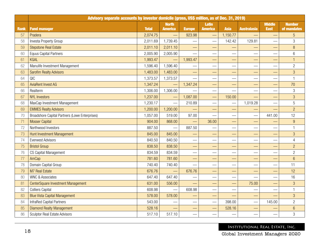|             | Advisory separate accounts by investor domicile (gross, US\$ million, as of Dec. 31, 2019) |              |                                |                          |                                |                                 |                          |                              |                              |  |
|-------------|--------------------------------------------------------------------------------------------|--------------|--------------------------------|--------------------------|--------------------------------|---------------------------------|--------------------------|------------------------------|------------------------------|--|
| <b>Rank</b> | <b>Fund manager</b>                                                                        | <b>Total</b> | <b>North</b><br><b>America</b> | <b>Europe</b>            | <b>Latin</b><br><b>America</b> | <b>Asia</b>                     | <b>Australasia</b>       | <b>Middle</b><br><b>East</b> | <b>Number</b><br>of mandates |  |
| 57          | Pradera                                                                                    | 2,074.75     |                                | 923.98                   |                                | 1,150.77                        |                          |                              | 5                            |  |
| 58          | Investa Property Group                                                                     | 2,011.69     | 1,739.45                       |                          |                                | 142.42                          | 129.81                   |                              | 3                            |  |
| 59          | <b>Stepstone Real Estate</b>                                                               | 2,011.10     | 2,011.10                       | $\overline{\phantom{0}}$ |                                |                                 |                          |                              | $\, 8$                       |  |
| 60          | <b>Equus Capital Partners</b>                                                              | 2,005.90     | 2,005.90                       |                          |                                |                                 |                          |                              | 6                            |  |
| 61          | <b>KGAL</b>                                                                                | 1,993.47     |                                | 1,993.47                 |                                |                                 |                          |                              | 1                            |  |
| 62          | Manulife Investment Management                                                             | 1,596.40     | 1,596.40                       |                          |                                |                                 |                          |                              | $\overline{c}$               |  |
| 63          | <b>Sarofim Realty Advisors</b>                                                             | 1,483.00     | 1,483.00                       |                          |                                |                                 |                          |                              | 3                            |  |
| 64          | QIC                                                                                        | 1,373.57     | 1,373.57                       |                          |                                |                                 |                          |                              | 1                            |  |
| 65          | <b>AviaRent Invest AG</b>                                                                  | 1,347.24     |                                | 1,347.24                 |                                |                                 |                          |                              | 70                           |  |
| 66          | Realterm                                                                                   | 1,306.00     | 1,306.00                       |                          |                                |                                 |                          |                              | 3                            |  |
| 67          | <b>NYL Investors</b>                                                                       | 1,237.00     |                                | 1,087.00                 |                                | 150.00                          |                          |                              | 3                            |  |
| 68          | MaxCap Investment Management                                                               | 1,230.17     |                                | 210.89                   |                                |                                 | 1,019.28                 |                              | 5                            |  |
| 69          | <b>EMMES Realty Advisors</b>                                                               | 1,200.00     | 1,200.00                       |                          |                                |                                 |                          |                              | $\overline{2}$               |  |
| 70          | Broadshore Capital Partners (Lowe Enterprises)                                             | 1,057.00     | 519.00                         | 97.00                    |                                |                                 |                          | 441.00                       | 12                           |  |
| 71          | <b>Mosser Capital</b>                                                                      | 904.00       | 868.00                         |                          | 36.00                          | $\overline{\phantom{0}}$        |                          |                              | 9                            |  |
| 72          | Northwood Investors                                                                        | 887.50       |                                | 887.50                   |                                |                                 | $\overline{\phantom{0}}$ |                              | 1                            |  |
| 73          | Hunt Investment Management                                                                 | 845.00       | 845.00                         |                          |                                | $\overline{\phantom{0}}$        | $\overline{\phantom{0}}$ |                              | 3                            |  |
| 74          | <b>Everwest Advisors</b>                                                                   | 840.50       | 840.50                         |                          |                                |                                 | $\overline{\phantom{0}}$ |                              | $\overline{4}$               |  |
| 75          | <b>Bristol Group</b>                                                                       | 838.50       | 838.50                         |                          |                                | $\overline{\phantom{0}}$        | —                        |                              | $\overline{c}$               |  |
| 76          | CS Capital Management                                                                      | 834.59       | 834.59                         |                          |                                |                                 | $\overline{\phantom{0}}$ |                              | $\overline{c}$               |  |
| 77          | AmCap                                                                                      | 781.60       | 781.60                         |                          |                                |                                 |                          |                              | $6\phantom{1}$               |  |
| 78          | Domain Capital Group                                                                       | 740.40       | 740.40                         |                          |                                | $\overbrace{\qquad \qquad }^{}$ |                          |                              | 11                           |  |
| 79          | <b>M7 Real Estate</b>                                                                      | 676.76       |                                | 676.76                   |                                |                                 |                          |                              | 12                           |  |
| 80          | <b>WNC &amp; Associates</b>                                                                | 647.40       | 647.40                         |                          |                                |                                 |                          |                              | 16                           |  |
| 81          | CenterSquare Investment Management                                                         | 631.00       | 556.00                         |                          |                                | —                               | 75.00                    |                              | 3                            |  |
| 82          | <b>Colliers Capital</b>                                                                    | 608.98       |                                | 608.98                   |                                | $\overbrace{\phantom{13333}}$   |                          |                              | $\mathbf{1}$                 |  |
| 83          | <b>Blue Vista Capital Management</b>                                                       | 578.00       | 578.00                         |                          |                                | —<br>—                          |                          |                              | 3                            |  |
| 84          | InfraRed Capital Partners                                                                  | 543.00       |                                |                          |                                | 398.00                          |                          | 145.00                       | $\overline{2}$               |  |
| 85          | <b>Diamond Realty Management</b>                                                           | 528.16       |                                |                          |                                | 528.16                          |                          |                              | $6\phantom{1}$               |  |
| 86          | <b>Sculptor Real Estate Advisors</b>                                                       | 517.10       | 517.10                         |                          |                                |                                 |                          |                              | 3                            |  |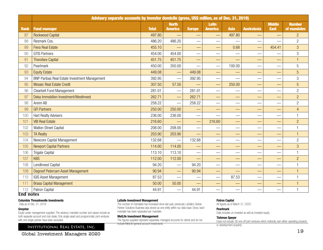|                 | Advisory separate accounts by investor domicile (gross, US\$ million, as of Dec. 31, 2019) |              |                                |                                   |                                   |                               |                          |                              |                              |  |
|-----------------|--------------------------------------------------------------------------------------------|--------------|--------------------------------|-----------------------------------|-----------------------------------|-------------------------------|--------------------------|------------------------------|------------------------------|--|
| <b>Rank</b>     | <b>Fund manager</b>                                                                        | <b>Total</b> | <b>North</b><br><b>America</b> | <b>Europe</b>                     | <b>Latin</b><br><b>America</b>    | <b>Asia</b>                   | <b>Australasia</b>       | <b>Middle</b><br><b>East</b> | <b>Number</b><br>of mandates |  |
| 87              | <b>Rockwood Capital</b>                                                                    | 497.80       |                                |                                   |                                   | 497.80                        |                          |                              | $\overline{2}$               |  |
| 88              | Resmark Cos.                                                                               | 486.20       | 486.20                         |                                   |                                   |                               | $\overline{\phantom{0}}$ |                              | $\overline{2}$               |  |
| 89              | <b>Fiera Real Estate</b>                                                                   | 455.10       |                                | $\overbrace{\phantom{aaaaa}}^{a}$ |                                   | 0.68                          |                          | 454.41                       | 3                            |  |
| 90              | <b>GTIS Partners</b>                                                                       | 454.00       | 454.00                         | $\overbrace{\phantom{aaaaa}}$     |                                   |                               |                          |                              | 3                            |  |
| 91              | <b>Thorofare Capital</b>                                                                   | 451.75       | 451.75                         | -                                 |                                   |                               |                          |                              | $\overline{1}$               |  |
| 92              | Pearlmark                                                                                  | 450.00       | 350.00                         |                                   |                                   | 100.00                        | $\overline{\phantom{0}}$ |                              | 5                            |  |
| 93              | <b>Equity Estate</b>                                                                       | 449.08       |                                | 449.08                            | $\overbrace{\phantom{aaaaa}}^{a}$ |                               |                          |                              | $\overline{5}$               |  |
| 94              | BNP Paribas Real Estate Investment Management                                              | 392.95       |                                | 392.95                            |                                   |                               |                          |                              | 3                            |  |
| 95              | <b>Mosaic Real Estate Credit</b>                                                           | 307.50       | 57.50                          |                                   |                                   | 250.00                        |                          |                              | 5                            |  |
| 96              | Clearbell Fund Management                                                                  | 281.01       | $\overline{\phantom{0}}$       | 281.01                            |                                   |                               | $\overline{\phantom{0}}$ |                              | $\overline{c}$               |  |
| 97              | Deka Immobilien Investment/WestInvest                                                      | 262.71       |                                | 262.71                            |                                   |                               |                          |                              | $\overline{2}$               |  |
| 98              | Areim AB                                                                                   | 258.22       | $\mathcal{L}_{\mathcal{A}}$    | 258.22                            |                                   | $\overbrace{\phantom{aaaaa}}$ |                          |                              | $\overline{c}$               |  |
| 99              | <b>GFI Partners</b>                                                                        | 250.00       | 250.00                         |                                   |                                   |                               |                          |                              | $\overline{4}$               |  |
| 100             | <b>Hart Realty Advisers</b>                                                                | 236.00       | 236.00                         |                                   |                                   |                               |                          |                              | 1                            |  |
| 101             | <b>VBI Real Estate</b>                                                                     | 216.60       |                                |                                   | 216.60                            |                               |                          |                              | $\overline{2}$               |  |
| 102             | Walton Street Capital                                                                      | 208.00       | 208.00                         |                                   |                                   |                               | $\overline{\phantom{0}}$ |                              | 1                            |  |
| 103             | <b>TA Realty</b>                                                                           | 203.90       | 203.90                         |                                   |                                   |                               |                          |                              | $\overline{1}$               |  |
| 104             | Newcore Capital Management                                                                 | 132.68       | $\overline{\phantom{0}}$       | 132.68                            |                                   |                               |                          |                              | $\overline{c}$               |  |
| 105             | <b>Newport Capital Partners</b>                                                            | 114.00       | 114.00                         |                                   |                                   |                               |                          |                              | 3                            |  |
| 106             | <b>Trigate Capital</b>                                                                     | 113.10       | 113.10                         |                                   |                                   |                               |                          |                              | 1                            |  |
| 107             | <b>KBS</b>                                                                                 | 112.00       | 112.00                         |                                   |                                   |                               |                          |                              | $\overline{2}$               |  |
| 108             | LendInvest Capital                                                                         | 94.20        |                                | 94.20                             | $\overline{\phantom{0}}$          |                               |                          |                              | $\overline{1}$               |  |
| 109             | Degroof Petercam Asset Management                                                          | 90.94        |                                | 90.94                             |                                   |                               |                          |                              | $\overline{1}$               |  |
| 110             | <b>IGIS Asset Management</b>                                                               | 87.53        |                                |                                   |                                   | 87.53                         |                          |                              | $\mathbf{1}$                 |  |
| 111             | <b>Brasa Capital Management</b>                                                            | 50.00        | 50.00                          |                                   |                                   |                               |                          |                              | 1                            |  |
| 112<br>$= 1.65$ | Patron Capital                                                                             | 44.91        |                                | 44.91                             | $\overline{\phantom{0}}$          |                               |                          |                              | $\mathbf{1}$                 |  |

### **End notes**

#### Columbia Threadneedle Investments

Data as of Dec. 31, 2018

### Greystar

Equity under management supplied. The advisory mandate number and values include as both separate account and club deals. Only single-asset and programmatic joint-ventures with one single partner have been excluded.

### Institutional Real Estate, Inc.

Global Investment Managers 2020

### LaSalle Investment Management

The number of mandates has increased since last year, previously LaSalle's Global Partner Solutions Business was stored as one entity within our data base. Since, each mandate has been separated per mandate.

#### MetLife Investment Management

The figures supplied represent separately managed accounts for clients and do not include MetLife general account investments

#### Patron Capital

All figures as of March 31, 2020.

### Pearlmark

Data includes un-invested as well as invested equity.

#### Tishman Speyer

Does not include 38 one-off joint ventures which indirectly own either operating property or development property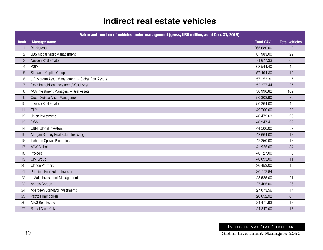# Indirect real estate vehicles

|                 | Value and number of vehicles under management (gross, US\$ million, as of Dec. 31, 2019) |                  |                       |
|-----------------|------------------------------------------------------------------------------------------|------------------|-----------------------|
| <b>Rank</b>     | <b>Manager name</b>                                                                      | <b>Total GAV</b> | <b>Total vehicles</b> |
| $\overline{1}$  | Blackstone                                                                               | 265,680.00       | 9                     |
| $\mathbf{2}$    | <b>UBS Global Asset Management</b>                                                       | 81,983.00        | 29                    |
| 3               | Nuveen Real Estate                                                                       | 74,677.33        | 69                    |
| $\overline{4}$  | PGIM                                                                                     | 62,544.40        | 45                    |
| 5               | Starwood Capital Group                                                                   | 57,494.80        | 12                    |
| $6\phantom{.}6$ | J.P. Morgan Asset Management - Global Real Assets                                        | 57,153.30        | $\overline{7}$        |
| $\overline{7}$  | Deka Immobilien Investment/WestInvest                                                    | 52,277.44        | 27                    |
| 8               | AXA Investment Managers - Real Assets                                                    | 50,990.82        | 109                   |
| 9               | Credit Suisse Asset Management                                                           | 50,303.90        | 29                    |
| 10              | Invesco Real Estate                                                                      | 50,264.00        | 45                    |
| 11              | GLP                                                                                      | 49,700.00        | 20                    |
| 12              | Union Investment                                                                         | 46,472.63        | 28                    |
| 13              | <b>DWS</b>                                                                               | 46,247.41        | 22                    |
| 14              | <b>CBRE</b> Global Investors                                                             | 44,500.00        | 52                    |
| 15              | Morgan Stanley Real Estate Investing                                                     | 42,664.00        | 12                    |
| 16              | <b>Tishman Speyer Properties</b>                                                         | 42,250.00        | 16                    |
| 17              | <b>AEW Global</b>                                                                        | 41,925.00        | 84                    |
| 18              | Prologis                                                                                 | 40,127.00        | 5                     |
| 19              | CIM Group                                                                                | 40,093.00        | 11                    |
| 20              | <b>Clarion Partners</b>                                                                  | 36,453.00        | 15                    |
| 21              | Principal Real Estate Investors                                                          | 30,772.64        | 29                    |
| 22              | LaSalle Investment Management                                                            | 28,525.00        | 21                    |
| 23              | Angelo Gordon                                                                            | 27,465.00        | 26                    |
| 24              | Aberdeen Standard Investments                                                            | 27,073.56        | 47                    |
| 25              | Patrizia Immobilien                                                                      | 26,652.92        | 64                    |
| 26              | M&G Real Estate                                                                          | 24,471.93        | 18                    |
| 27              | BentallGreenOak                                                                          | 24,247.00        | 18                    |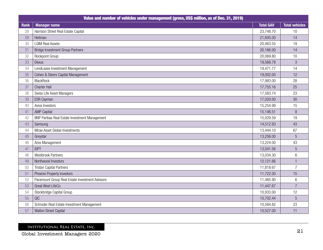|             | Value and number of vehicles under management (gross, US\$ million, as of Dec. 31, 2019) |                  |                       |
|-------------|------------------------------------------------------------------------------------------|------------------|-----------------------|
| <b>Rank</b> | <b>Manager name</b>                                                                      | <b>Total GAV</b> | <b>Total vehicles</b> |
| 28          | Harrison Street Real Estate Capital                                                      | 23,748.70        | 10                    |
| 29          | Heitman                                                                                  | 21,605.00        | 14                    |
| 30          | <b>LGIM Real Assets</b>                                                                  | 20,463.55        | 19                    |
| 31          | <b>Bridge Investment Group Partners</b>                                                  | 20,166.00        | 14                    |
| 32          | Rockpoint Group                                                                          | 20,069.80        | 10                    |
| 33          | Dexus                                                                                    | 19,568.78        | $\mathfrak{S}$        |
| 34          | LendLease Investment Management                                                          | 19,471.77        | 14                    |
| 35          | Cohen & Steers Capital Management                                                        | 19,002.00        | 12                    |
| 36          | <b>BlackRock</b>                                                                         | 17,983.00        | 28                    |
| 37          | <b>Charter Hall</b>                                                                      | 17,755.16        | 25                    |
| 38          | Swiss Life Asset Managers                                                                | 17,583.74        | 23                    |
| 39          | ESR Cayman                                                                               | 17,020.00        | 30                    |
| 40          | Aviva Investors                                                                          | 15,254.99        | 15                    |
| 41          | <b>AMP Capital</b>                                                                       | 15,146.51        | 8                     |
| 42          | BNP Paribas Real Estate Investment Management                                            | 15,029.59        | 19                    |
| 43          | Samsung                                                                                  | 14,512.93        | 43                    |
| 44          | Mirae Asset Global Investments                                                           | 13,444.10        | 67                    |
| 45          | Greystar                                                                                 | 13,258.00        | $5\phantom{.}$        |
| 46          | Ares Management                                                                          | 13,224.00        | 43                    |
| 47          | <b>ISPT</b>                                                                              | 13,041.56        | $\sqrt{5}$            |
| 48          | <b>Westbrook Partners</b>                                                                | 13,034.30        | $6\,$                 |
| 49          | Northwood Investors                                                                      | 12,121.66        |                       |
| 50          | <b>Tristan Capital Partners</b>                                                          | 11,818.67        | $\overline{7}$        |
| 51          | Phoenix Property Investors                                                               | 11,722.00        | 15                    |
| 52          | Paramount Group Real Estate Investment Advisors                                          | 11,485.90        | $6\,$                 |
| 53          | Great West LifeCo.                                                                       | 11,447.67        | $\overline{7}$        |
| 54          | Stockbridge Capital Group                                                                | 10,933.00        | 12                    |
| 55          | QIC                                                                                      | 10,702.44        | 5                     |
| 56          | Schroder Real Estate Investment Management                                               | 10,584.82        | 23                    |
| 57          | Walton Street Capital                                                                    | 10,527.00        | 11                    |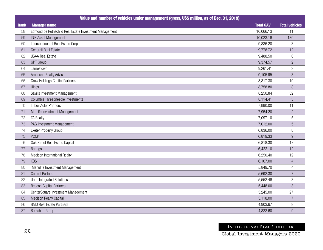|      | Value and number of vehicles under management (gross, US\$ million, as of Dec. 31, 2019) |                  |                       |
|------|------------------------------------------------------------------------------------------|------------------|-----------------------|
| Rank | <b>Manager name</b>                                                                      | <b>Total GAV</b> | <b>Total vehicles</b> |
| 58   | Edmond de Rothschild Real Estate Investment Management                                   | 10,066.13        | 11                    |
| 59   | IGIS Asset Management                                                                    | 10,023.16        | 130                   |
| 60   | Intercontinental Real Estate Corp.                                                       | 9,836.20         | 3                     |
| 61   | Generali Real Estate                                                                     | 9,778.72         | 12                    |
| 62   | <b>USAA Real Estate</b>                                                                  | 9,488.50         | 6                     |
| 63   | <b>GPT Group</b>                                                                         | 9,374.57         | $\overline{2}$        |
| 64   | Jamestown                                                                                | 9,261.41         | $\mathfrak{S}$        |
| 65   | American Realty Advisors                                                                 | 9,105.95         | 3                     |
| 66   | <b>Crow Holdings Capital Partners</b>                                                    | 8,817.30         | 10                    |
| 67   | Hines                                                                                    | 8,758.80         | $\, 8$                |
| 68   | Savills Investment Management                                                            | 8,250.84         | 32                    |
| 69   | Columbia Threadneedle Investments                                                        | 8,114.41         | 5                     |
| 70   | Luber-Adler Partners                                                                     | 7,990.00         | 11                    |
| 71   | MetLife Investment Management                                                            | 7,954.20         | $\overline{2}$        |
| 72   | <b>TA Realty</b>                                                                         | 7,097.10         | 5                     |
| 73   | PAG Investment Management                                                                | 7,012.00         | $\overline{5}$        |
| 74   | Exeter Property Group                                                                    | 6,836.00         | 8                     |
| 75   | <b>PCCP</b>                                                                              | 6,819.33         | 9                     |
| 76   | Oak Street Real Estate Capital                                                           | 6,818.30         | 17                    |
| 77   | <b>Barings</b>                                                                           | 6,422.10         | 12                    |
| 78   | Madison International Realty                                                             | 6,250.40         | 12                    |
| 79   | <b>KBS</b>                                                                               | 6,167.00         | $\overline{4}$        |
| 80   | Manulife Investment Management                                                           | 5,849.70         | $\overline{4}$        |
| 81   | <b>Carmel Partners</b>                                                                   | 5,692.30         | $\overline{7}$        |
| 82   | Unite Integrated Solutions                                                               | 5,552.46         | 3                     |
| 83   | <b>Beacon Capital Partners</b>                                                           | 5,448.00         | 3                     |
| 84   | CenterSquare Investment Management                                                       | 5,245.00         | 27                    |
| 85   | Madison Realty Capital                                                                   | 5,118.00         | $\overline{7}$        |
| 86   | <b>BMO Real Estate Partners</b>                                                          | 4,903.67         | $\boldsymbol{9}$      |
| 87   | Berkshire Group                                                                          | 4,822.60         | 9                     |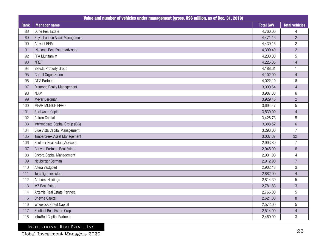| Value and number of vehicles under management (gross, US\$ million, as of Dec. 31, 2019) |                                      |                  |                       |  |  |
|------------------------------------------------------------------------------------------|--------------------------------------|------------------|-----------------------|--|--|
| <b>Rank</b>                                                                              | <b>Manager name</b>                  | <b>Total GAV</b> | <b>Total vehicles</b> |  |  |
| 88                                                                                       | Dune Real Estate                     | 4,760.00         | 4                     |  |  |
| 89                                                                                       | Royal London Asset Management        | 4,471.15         | $\overline{c}$        |  |  |
| 90                                                                                       | Amvest REIM                          | 4,439.16         | $\overline{2}$        |  |  |
| 91                                                                                       | National Real Estate Advisors        | 4,399.40         | $\overline{2}$        |  |  |
| 92                                                                                       | FPA Multifamily                      | 4,230.00         | 5                     |  |  |
| 93                                                                                       | <b>NREP</b>                          | 4,225.85         | 14                    |  |  |
| 94                                                                                       | Investa Property Group               | 4,188.61         | -1                    |  |  |
| 95                                                                                       | Carroll Organization                 | 4,102.00         | $\overline{4}$        |  |  |
| 96                                                                                       | <b>GTIS Partners</b>                 | 4,022.10         | 16                    |  |  |
| 97                                                                                       | Diamond Realty Management            | 3,990.64         | 14                    |  |  |
| 98                                                                                       | <b>NIAM</b>                          | 3,987.83         | $6\,$                 |  |  |
| 99                                                                                       | Meyer Bergman                        | 3,929.45         | $\overline{2}$        |  |  |
| 100                                                                                      | MEAG MUNICH ERGO                     | 3,694.47         | 5                     |  |  |
| 101                                                                                      | Rockwood Capital                     | 3,530.00         | $\overline{4}$        |  |  |
| 102                                                                                      | Patron Capital                       | 3,428.73         | 5                     |  |  |
| 103                                                                                      | Intermediate Capital Group (ICG)     | 3,388.52         | $\overline{6}$        |  |  |
| 104                                                                                      | <b>Blue Vista Capital Management</b> | 3,298.00         | $\overline{7}$        |  |  |
| 105                                                                                      | Timbercreek Asset Management         | 3,037.87         | 32                    |  |  |
| 106                                                                                      | <b>Sculptor Real Estate Advisors</b> | 2,993.80         | $\overline{7}$        |  |  |
| 107                                                                                      | Canyon Partners Real Estate          | 2,945.00         | $6\phantom{.}6$       |  |  |
| 108                                                                                      | <b>Encore Capital Management</b>     | 2,931.00         | $\overline{4}$        |  |  |
| 109                                                                                      | Neuberger Berman                     | 2,912.90         | 17                    |  |  |
| 110                                                                                      | Altera Vastgoed                      | 2,902.18         | 3                     |  |  |
| 111                                                                                      | <b>Torchlight Investors</b>          | 2,882.00         | $\overline{4}$        |  |  |
| 112                                                                                      | Amherst Holdings                     | 2,814.30         | 5                     |  |  |
| 113                                                                                      | M7 Real Estate                       | 2,781.83         | 13                    |  |  |
| 114                                                                                      | Artemis Real Estate Partners         | 2,766.00         | 5                     |  |  |
| 115                                                                                      | Cheyne Capital                       | 2,621.00         | 8                     |  |  |
| 116                                                                                      | Wheelock Street Capital              | 2,572.00         | 5                     |  |  |
| 117                                                                                      | Sentinel Real Estate Corp.           | 2,514.00         | $\overline{4}$        |  |  |
| 118                                                                                      | InfraRed Capital Partners            | 2,469.00         | 3                     |  |  |

Global Investment Managers 2020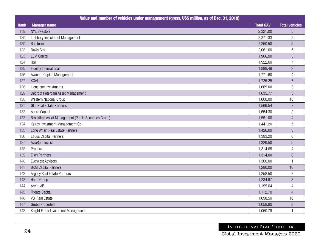|      | Value and number of vehicles under management (gross, US\$ million, as of Dec. 31, 2019) |                  |                       |  |  |  |
|------|------------------------------------------------------------------------------------------|------------------|-----------------------|--|--|--|
| Rank | <b>Manager name</b>                                                                      | <b>Total GAV</b> | <b>Total vehicles</b> |  |  |  |
| 119  | <b>NYL Investors</b>                                                                     | 2,321.00         | $\overline{5}$        |  |  |  |
| 120  | Lothbury Investment Management                                                           | 2,271.33         | $\overline{c}$        |  |  |  |
| 120  | Realterm                                                                                 | 2,250.50         | 5                     |  |  |  |
| 122  | Davis Cos.                                                                               | 2,061.00         | 5                     |  |  |  |
| 123  | <b>LEM Capital</b>                                                                       | 1,966.90         | 3                     |  |  |  |
| 124  | <b>HSI</b>                                                                               | 1,922.60         | $\overline{7}$        |  |  |  |
| 125  | Fidelity International                                                                   | 1,888.49         | $\overline{c}$        |  |  |  |
| 126  | Avanath Capital Management                                                               | 1,771.60         | $\overline{4}$        |  |  |  |
| 127  | KGAL                                                                                     | 1,725.25         | $\overline{7}$        |  |  |  |
| 128  | Lionstone Investments                                                                    | 1,669.00         | 3                     |  |  |  |
| 129  | Degroof Petercam Asset Management                                                        | 1,635.77         | $\overline{5}$        |  |  |  |
| 130  | Western National Group                                                                   | 1,600.00         | 18                    |  |  |  |
| 131  | <b>GLL Real Estate Partners</b>                                                          | 1,569.54         | $\overline{7}$        |  |  |  |
| 132  | Acore Capital                                                                            | 1,554.30         | $\overline{c}$        |  |  |  |
| 133  | Brookfield Asset Management (Public Securities Group)                                    | 1,551.00         | $\overline{4}$        |  |  |  |
| 134  | Kairos Investment Management Co.                                                         | 1,441.20         | 5                     |  |  |  |
| 135  | Long Wharf Real Estate Partners                                                          | 1,426.00         | $\mathfrak{S}$        |  |  |  |
| 136  | <b>Equus Capital Partners</b>                                                            | 1,393.20         | $\,6$                 |  |  |  |
| 137  | AviaRent Invest                                                                          | 1,329.50         | $\boldsymbol{9}$      |  |  |  |
| 138  | Pradera                                                                                  | 1,314.68         | $\overline{4}$        |  |  |  |
| 139  | <b>Elion Partners</b>                                                                    | 1,314.00         | $\, 8$                |  |  |  |
| 140  | <b>Everwest Advisors</b>                                                                 | 1,300.00         | $\overline{1}$        |  |  |  |
| 141  | <b>BKM Capital Partners</b>                                                              | 1,280.00         | 18                    |  |  |  |
| 142  | <b>Argosy Real Estate Partners</b>                                                       | 1,258.50         | $\overline{7}$        |  |  |  |
| 143  | Hahn Group                                                                               | 1,234.97         | $\mathfrak{S}$        |  |  |  |
| 144  | Areim AB                                                                                 | 1,199.04         | $\overline{4}$        |  |  |  |
| 145  | <b>Trigate Capital</b>                                                                   | 1,112.70         | $\overline{4}$        |  |  |  |
| 146  | <b>VBI Real Estate</b>                                                                   | 1,098.50         | 10                    |  |  |  |
| 147  | <b>Grubb Properties</b>                                                                  | 1,058.80         | $\boldsymbol{9}$      |  |  |  |
| 148  | Knight Frank Investment Management                                                       | 1,050.79         | $\mathbf{1}$          |  |  |  |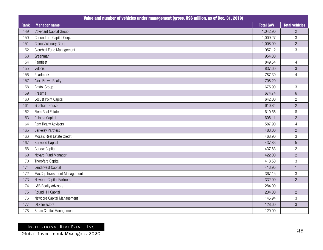|             | Value and number of vehicles under management (gross, US\$ million, as of Dec. 31, 2019) |                  |                           |  |  |
|-------------|------------------------------------------------------------------------------------------|------------------|---------------------------|--|--|
| <b>Rank</b> | <b>Manager name</b>                                                                      | <b>Total GAV</b> | <b>Total vehicles</b>     |  |  |
| 149         | Covenant Capital Group                                                                   | 1,042.90         | $\overline{2}$            |  |  |
| 150         | Conundrum Capital Corp.                                                                  | 1,009.27         | $\ensuremath{\mathsf{3}}$ |  |  |
| 151         | China Visionary Group                                                                    | 1,008.00         | $\overline{c}$            |  |  |
| 152         | <b>Clearbell Fund Management</b>                                                         | 957.12           | 3                         |  |  |
| 153         | Greenman                                                                                 | 954.30           |                           |  |  |
| 154         | Pamfleet                                                                                 | 849.54           | $\overline{4}$            |  |  |
| 155         | Velocis                                                                                  | 837.60           | 3                         |  |  |
| 156         | Pearlmark                                                                                | 787.30           | $\overline{4}$            |  |  |
| 157         | Alex. Brown Realty                                                                       | 708.20           | $\mathbf{1}$              |  |  |
| 158         | <b>Bristol Group</b>                                                                     | 675.90           | $\mathfrak{S}$            |  |  |
| 159         | Presima                                                                                  | 674.74           | $\,6\,$                   |  |  |
| 160         | Locust Point Capital                                                                     | 642.00           | $\mathbf{2}$              |  |  |
| 161         | Gresham House                                                                            | 610.84           | $\overline{c}$            |  |  |
| 162         | Fiera Real Estate                                                                        | 610.56           | $\, 8$                    |  |  |
| 163         | Paloma Capital                                                                           | 606.11           | $\overline{c}$            |  |  |
| 164         | Ram Realty Advisors                                                                      | 587.90           | $\overline{4}$            |  |  |
| 165         | <b>Berkeley Partners</b>                                                                 | 488.00           | $\overline{c}$            |  |  |
| 166         | Mosaic Real Estate Credit                                                                | 468.90           | $\ensuremath{\mathsf{3}}$ |  |  |
| 167         | <b>Barwood Capital</b>                                                                   | 437.83           | 5                         |  |  |
| 168         | <b>Curlew Capital</b>                                                                    | 437.83           | $\overline{2}$            |  |  |
| 169         | Novare Fund Manager                                                                      | 422.00           | $\overline{2}$            |  |  |
| 170         | Thorofare Capital                                                                        | 418.50           | $\,3$                     |  |  |
| 171         | LendInvest Capital                                                                       | 413.95           |                           |  |  |
| 172         | MaxCap Investment Management                                                             | 367.15           | $\mathfrak{S}$            |  |  |
| 173         | Newport Capital Partners                                                                 | 332.00           | $\sqrt{2}$                |  |  |
| 174         | <b>L&amp;B Realty Advisors</b>                                                           | 284.00           | $\mathbf{1}$              |  |  |
| 175         | Round Hill Capital                                                                       | 234.00           | $\overline{c}$            |  |  |
| 176         | Newcore Capital Management                                                               | 145.94           | $\ensuremath{\mathsf{3}}$ |  |  |
| 177         | <b>DTZ Investors</b>                                                                     | 128.60           | $\sqrt{3}$                |  |  |
| 178         | <b>Brasa Capital Management</b>                                                          | 120.00           |                           |  |  |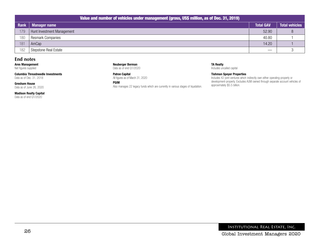| Value and number of vehicles under management (gross, US\$ million, as of Dec. 31, 2019) |                            |                               |                       |  |  |  |
|------------------------------------------------------------------------------------------|----------------------------|-------------------------------|-----------------------|--|--|--|
| Rank                                                                                     | <b>Manager name</b>        | <b>Total GAV</b>              | <b>Total vehicles</b> |  |  |  |
| 179                                                                                      | Hunt Investment Management | 52.90                         |                       |  |  |  |
| 180                                                                                      | <b>Resmark Companies</b>   | 40.80                         |                       |  |  |  |
| 181                                                                                      | AmCap                      | 14.20                         |                       |  |  |  |
| 182                                                                                      | Stepstone Real Estate      | $\overbrace{\phantom{13333}}$ |                       |  |  |  |

### **End notes**

Ares Management Net figures supplied

Columbia Threadneedle Investments Data as of Dec. 31, 2018

Gresham House Data as of June 26, 2020

Madison Realty Capital Data as of end Q1/2020

Neuberger Berman Data as of end Q1/2020

Patron Capital All figures as of March 31, 2020

### PGIM

Also manages 22 legacy funds which are currently in various stages of liquidation.

### TA Realty

Includes uncalled capital

### Tishman Speyer Properties

Includes 42 joint-ventures which indirectly own either operating-property or development-property. Excludes AUM owned through separate account vehicles of approximately \$5.5 billion.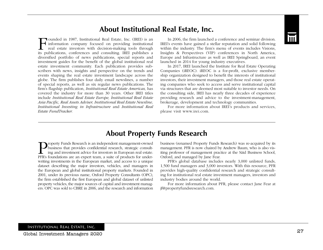

Founded in 1987, Institutional Real Estate, Inc. (IREI) is an<br>real information company focused on providing institutional<br>real estate investors with decision-making tools through withi<br>its publications conferences and cons ounded in 1987, Institutional Real Estate, Inc. (IREI) is an  $\rightarrow$  information company focused on providing institutional real estate investors with decision-making tools through its publications, conferences and consulting. IREI publishes a diversified portfolio of news publications, special reports and investment guides for the benefit of the global institutional real estate investment community. Each publication provides subscribers with news, insights and perspective on the trends and events shaping the real estate investment landscape across the globe. The firm publishes four daily email newslines, a number of special reports, as well as six regular news publications. The firm's flagship publication, *Institutional Real Estate Americas,* has covered the industry for more than 30 years. Other IREI titles include *Institutional Real Estate Europe, Institutional Real Estate Asia Pacific, Real Assets Adviser, Institutional Real Estate Newsline, Institutional Investing in Infrastructure* and *Institutional Real Estate FundTracker.*

In 2006, the firm launched a conference and seminar division. IREI's events have gained a stellar reputation and solid following within the industry. The firm's menu of events includes Visions, Insights & Perspectives (VIP) conferences in North America, Europe and Infrastructure as well as IREI Springboard, an event launched in 2014 for young industry executives.

In 2017, IREI launched the Institute for Real Estate Operating Companies (iREOC). iREOC is a for-profit, exclusive membership organization designed to benefit the interests of institutional investors, their investment managers, and those real estate operating companies who seek to access and serve institutional capital via structures that are deemed most suitable to investor needs. On the consulting side, IREI has nearly three decades of experience providing research and advice to the investment-management, brokerage, development and technology communities.

For more information about IREI's products and services, please visit www.irei.com.

# **About Property Funds Research**

**Property Funds Research is an independent management-owned**<br>business that provides confidential research, strategic consult-<br>ing and investment advice for investors in European real estate.<br>PFR's foundations are an expert business that provides confidential research, strategic consulting and investment advice for investors in European real estate. PFR's foundations are an expert team, a suite of products for underwriting investments in the European market, and access to a unique dataset describing the major investors, vehicles, and managers in the European and global institutional property markets. Founded in 2001, under its previous name, Oxford Property Consultants (OPC), the firm established the first European and global dataset of unlisted property vehicles, the major sources of capital and investment managers. OPC was sold to CBRE in 2006, and the research and information

business (renamed Property Funds Research) was re-acquired by its management. PFR is now chaired by Andrew Baum, who is also visiting professor of management practice at the Säid Business School, Oxford, and managed by Jane Fear.

PFR's global database includes nearly 3,000 unlisted funds, 1,500 fund managers and 3,000 investors. With this resource, PFR provides high-quality confidential research and strategic consulting for institutional real estate investment managers, investors and industry bodies around the world.

For more information about PFR, please contact Jane Fear at jf@propertyfundsresearch.com.